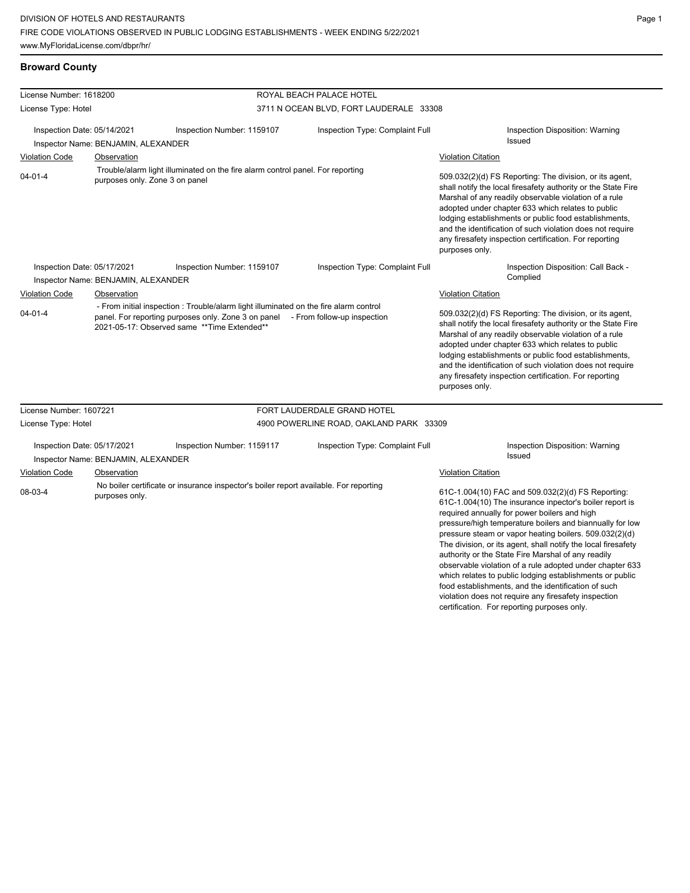| License Number: 1618200                                            |                                                                                                                  |                                                                                                                                                                                                                        | ROYAL BEACH PALACE HOTEL                                                                                                                                                                                                                                                                                                                                                                                                                 |                                                                                                                                                                                                                                                                                                                                                                                                                                                                                                                                                                                                                                                                               |  |
|--------------------------------------------------------------------|------------------------------------------------------------------------------------------------------------------|------------------------------------------------------------------------------------------------------------------------------------------------------------------------------------------------------------------------|------------------------------------------------------------------------------------------------------------------------------------------------------------------------------------------------------------------------------------------------------------------------------------------------------------------------------------------------------------------------------------------------------------------------------------------|-------------------------------------------------------------------------------------------------------------------------------------------------------------------------------------------------------------------------------------------------------------------------------------------------------------------------------------------------------------------------------------------------------------------------------------------------------------------------------------------------------------------------------------------------------------------------------------------------------------------------------------------------------------------------------|--|
| License Type: Hotel                                                |                                                                                                                  |                                                                                                                                                                                                                        | 3711 N OCEAN BLVD, FORT LAUDERALE 33308                                                                                                                                                                                                                                                                                                                                                                                                  |                                                                                                                                                                                                                                                                                                                                                                                                                                                                                                                                                                                                                                                                               |  |
| Inspection Date: 05/14/2021<br>Inspector Name: BENJAMIN, ALEXANDER |                                                                                                                  | Inspection Number: 1159107                                                                                                                                                                                             | Inspection Type: Complaint Full                                                                                                                                                                                                                                                                                                                                                                                                          | Inspection Disposition: Warning<br><b>Issued</b>                                                                                                                                                                                                                                                                                                                                                                                                                                                                                                                                                                                                                              |  |
| <b>Violation Code</b><br>Observation                               |                                                                                                                  |                                                                                                                                                                                                                        |                                                                                                                                                                                                                                                                                                                                                                                                                                          | <b>Violation Citation</b>                                                                                                                                                                                                                                                                                                                                                                                                                                                                                                                                                                                                                                                     |  |
| $04 - 01 - 4$                                                      | Trouble/alarm light illuminated on the fire alarm control panel. For reporting<br>purposes only. Zone 3 on panel |                                                                                                                                                                                                                        |                                                                                                                                                                                                                                                                                                                                                                                                                                          | 509.032(2)(d) FS Reporting: The division, or its agent,<br>shall notify the local firesafety authority or the State Fire<br>Marshal of any readily observable violation of a rule<br>adopted under chapter 633 which relates to public<br>lodging establishments or public food establishments,<br>and the identification of such violation does not require<br>any firesafety inspection certification. For reporting<br>purposes only.                                                                                                                                                                                                                                      |  |
| Inspection Date: 05/17/2021                                        | Inspector Name: BENJAMIN, ALEXANDER                                                                              | Inspection Number: 1159107                                                                                                                                                                                             | Inspection Type: Complaint Full                                                                                                                                                                                                                                                                                                                                                                                                          | Inspection Disposition: Call Back -<br>Complied                                                                                                                                                                                                                                                                                                                                                                                                                                                                                                                                                                                                                               |  |
| <b>Violation Code</b>                                              | Observation                                                                                                      |                                                                                                                                                                                                                        |                                                                                                                                                                                                                                                                                                                                                                                                                                          | <b>Violation Citation</b>                                                                                                                                                                                                                                                                                                                                                                                                                                                                                                                                                                                                                                                     |  |
| $04 - 01 - 4$                                                      |                                                                                                                  | - From initial inspection: Trouble/alarm light illuminated on the fire alarm control<br>panel. For reporting purposes only. Zone 3 on panel - From follow-up inspection<br>2021-05-17: Observed same **Time Extended** | 509.032(2)(d) FS Reporting: The division, or its agent,<br>shall notify the local firesafety authority or the State Fire<br>Marshal of any readily observable violation of a rule<br>adopted under chapter 633 which relates to public<br>lodging establishments or public food establishments,<br>and the identification of such violation does not require<br>any firesafety inspection certification. For reporting<br>purposes only. |                                                                                                                                                                                                                                                                                                                                                                                                                                                                                                                                                                                                                                                                               |  |
| License Number: 1607221                                            |                                                                                                                  |                                                                                                                                                                                                                        | FORT LAUDERDALE GRAND HOTEL                                                                                                                                                                                                                                                                                                                                                                                                              |                                                                                                                                                                                                                                                                                                                                                                                                                                                                                                                                                                                                                                                                               |  |
| License Type: Hotel                                                |                                                                                                                  |                                                                                                                                                                                                                        | 4900 POWERLINE ROAD, OAKLAND PARK 33309                                                                                                                                                                                                                                                                                                                                                                                                  |                                                                                                                                                                                                                                                                                                                                                                                                                                                                                                                                                                                                                                                                               |  |
| Inspection Date: 05/17/2021                                        | Inspector Name: BENJAMIN, ALEXANDER                                                                              | Inspection Number: 1159117                                                                                                                                                                                             | Inspection Type: Complaint Full                                                                                                                                                                                                                                                                                                                                                                                                          | Inspection Disposition: Warning<br><b>Issued</b>                                                                                                                                                                                                                                                                                                                                                                                                                                                                                                                                                                                                                              |  |
| <b>Violation Code</b><br>Observation<br>08-03-4<br>purposes only.  |                                                                                                                  | No boiler certificate or insurance inspector's boiler report available. For reporting                                                                                                                                  |                                                                                                                                                                                                                                                                                                                                                                                                                                          | <b>Violation Citation</b><br>61C-1.004(10) FAC and 509.032(2)(d) FS Reporting:<br>61C-1.004(10) The insurance inpector's boiler report is<br>required annually for power boilers and high<br>pressure/high temperature boilers and biannually for low<br>pressure steam or vapor heating boilers. 509.032(2)(d)<br>The division, or its agent, shall notify the local firesafety<br>authority or the State Fire Marshal of any readily<br>observable violation of a rule adopted under chapter 633<br>which relates to public lodging establishments or public<br>food establishments, and the identification of such<br>violation does not require any firesafety inspection |  |

certification. For reporting purposes only.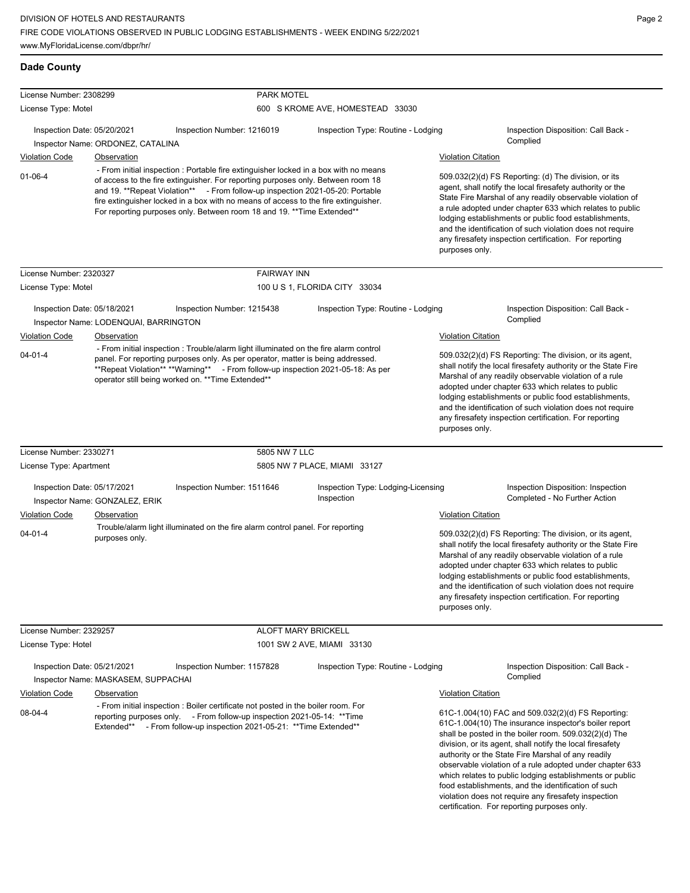| License Number: 2308299<br>License Type: Motel       |                                                                                                                                                                                                                                                                                                                                                                                                                             |                                                                                                                                                                                                                                                                                                                   | <b>PARK MOTEL</b><br>600 S KROME AVE, HOMESTEAD 33030 |                                                                                                                                                                                                                                                                                                                                                                                                                                              |                                                                                                                                                                                                                                                                                                                                                                                                                        |  |
|------------------------------------------------------|-----------------------------------------------------------------------------------------------------------------------------------------------------------------------------------------------------------------------------------------------------------------------------------------------------------------------------------------------------------------------------------------------------------------------------|-------------------------------------------------------------------------------------------------------------------------------------------------------------------------------------------------------------------------------------------------------------------------------------------------------------------|-------------------------------------------------------|----------------------------------------------------------------------------------------------------------------------------------------------------------------------------------------------------------------------------------------------------------------------------------------------------------------------------------------------------------------------------------------------------------------------------------------------|------------------------------------------------------------------------------------------------------------------------------------------------------------------------------------------------------------------------------------------------------------------------------------------------------------------------------------------------------------------------------------------------------------------------|--|
|                                                      |                                                                                                                                                                                                                                                                                                                                                                                                                             |                                                                                                                                                                                                                                                                                                                   |                                                       |                                                                                                                                                                                                                                                                                                                                                                                                                                              |                                                                                                                                                                                                                                                                                                                                                                                                                        |  |
| Inspection Date: 05/20/2021                          |                                                                                                                                                                                                                                                                                                                                                                                                                             | Inspection Number: 1216019                                                                                                                                                                                                                                                                                        | Inspection Type: Routine - Lodging                    |                                                                                                                                                                                                                                                                                                                                                                                                                                              | Inspection Disposition: Call Back -<br>Complied                                                                                                                                                                                                                                                                                                                                                                        |  |
|                                                      | Inspector Name: ORDONEZ, CATALINA                                                                                                                                                                                                                                                                                                                                                                                           |                                                                                                                                                                                                                                                                                                                   |                                                       |                                                                                                                                                                                                                                                                                                                                                                                                                                              |                                                                                                                                                                                                                                                                                                                                                                                                                        |  |
| <b>Violation Code</b>                                | Observation                                                                                                                                                                                                                                                                                                                                                                                                                 |                                                                                                                                                                                                                                                                                                                   |                                                       | <b>Violation Citation</b>                                                                                                                                                                                                                                                                                                                                                                                                                    |                                                                                                                                                                                                                                                                                                                                                                                                                        |  |
| $01 - 06 - 4$                                        | - From initial inspection : Portable fire extinguisher locked in a box with no means<br>of access to the fire extinguisher. For reporting purposes only. Between room 18<br>and 19. **Repeat Violation** - From follow-up inspection 2021-05-20: Portable<br>fire extinguisher locked in a box with no means of access to the fire extinguisher.<br>For reporting purposes only. Between room 18 and 19. ** Time Extended** |                                                                                                                                                                                                                                                                                                                   |                                                       | 509.032(2)(d) FS Reporting: (d) The division, or its<br>agent, shall notify the local firesafety authority or the<br>State Fire Marshal of any readily observable violation of<br>a rule adopted under chapter 633 which relates to public<br>lodging establishments or public food establishments,<br>and the identification of such violation does not require<br>any firesafety inspection certification. For reporting<br>purposes only. |                                                                                                                                                                                                                                                                                                                                                                                                                        |  |
| License Number: 2320327                              |                                                                                                                                                                                                                                                                                                                                                                                                                             | <b>FAIRWAY INN</b>                                                                                                                                                                                                                                                                                                |                                                       |                                                                                                                                                                                                                                                                                                                                                                                                                                              |                                                                                                                                                                                                                                                                                                                                                                                                                        |  |
| License Type: Motel                                  |                                                                                                                                                                                                                                                                                                                                                                                                                             |                                                                                                                                                                                                                                                                                                                   | 100 U S 1, FLORIDA CITY 33034                         |                                                                                                                                                                                                                                                                                                                                                                                                                                              |                                                                                                                                                                                                                                                                                                                                                                                                                        |  |
| Inspection Date: 05/18/2021                          | Inspector Name: LODENQUAI, BARRINGTON                                                                                                                                                                                                                                                                                                                                                                                       | Inspection Number: 1215438                                                                                                                                                                                                                                                                                        | Inspection Type: Routine - Lodging                    |                                                                                                                                                                                                                                                                                                                                                                                                                                              | Inspection Disposition: Call Back -<br>Complied                                                                                                                                                                                                                                                                                                                                                                        |  |
| <b>Violation Code</b>                                | Observation                                                                                                                                                                                                                                                                                                                                                                                                                 |                                                                                                                                                                                                                                                                                                                   |                                                       | <b>Violation Citation</b>                                                                                                                                                                                                                                                                                                                                                                                                                    |                                                                                                                                                                                                                                                                                                                                                                                                                        |  |
| $04 - 01 - 4$                                        |                                                                                                                                                                                                                                                                                                                                                                                                                             | - From initial inspection : Trouble/alarm light illuminated on the fire alarm control<br>panel. For reporting purposes only. As per operator, matter is being addressed.<br>**Repeat Violation** **Warning** - From follow-up inspection 2021-05-18: As per<br>operator still being worked on. ** Time Extended** |                                                       | purposes only.                                                                                                                                                                                                                                                                                                                                                                                                                               | 509.032(2)(d) FS Reporting: The division, or its agent,<br>shall notify the local firesafety authority or the State Fire<br>Marshal of any readily observable violation of a rule<br>adopted under chapter 633 which relates to public<br>lodging establishments or public food establishments,<br>and the identification of such violation does not require<br>any firesafety inspection certification. For reporting |  |
| License Number: 2330271                              |                                                                                                                                                                                                                                                                                                                                                                                                                             | 5805 NW 7 LLC                                                                                                                                                                                                                                                                                                     |                                                       |                                                                                                                                                                                                                                                                                                                                                                                                                                              |                                                                                                                                                                                                                                                                                                                                                                                                                        |  |
| License Type: Apartment                              |                                                                                                                                                                                                                                                                                                                                                                                                                             |                                                                                                                                                                                                                                                                                                                   | 5805 NW 7 PLACE, MIAMI 33127                          |                                                                                                                                                                                                                                                                                                                                                                                                                                              |                                                                                                                                                                                                                                                                                                                                                                                                                        |  |
| Inspection Date: 05/17/2021                          | Inspector Name: GONZALEZ, ERIK                                                                                                                                                                                                                                                                                                                                                                                              | Inspection Number: 1511646                                                                                                                                                                                                                                                                                        | Inspection Type: Lodging-Licensing<br>Inspection      |                                                                                                                                                                                                                                                                                                                                                                                                                                              | Inspection Disposition: Inspection<br>Completed - No Further Action                                                                                                                                                                                                                                                                                                                                                    |  |
| <b>Violation Code</b>                                | Observation                                                                                                                                                                                                                                                                                                                                                                                                                 |                                                                                                                                                                                                                                                                                                                   |                                                       | <b>Violation Citation</b>                                                                                                                                                                                                                                                                                                                                                                                                                    |                                                                                                                                                                                                                                                                                                                                                                                                                        |  |
| $04 - 01 - 4$                                        | purposes only.                                                                                                                                                                                                                                                                                                                                                                                                              | Trouble/alarm light illuminated on the fire alarm control panel. For reporting                                                                                                                                                                                                                                    |                                                       | purposes only.                                                                                                                                                                                                                                                                                                                                                                                                                               | 509.032(2)(d) FS Reporting: The division, or its agent,<br>shall notify the local firesafety authority or the State Fire<br>Marshal of any readily observable violation of a rule<br>adopted under chapter 633 which relates to public<br>lodging establishments or public food establishments,<br>and the identification of such violation does not require<br>any firesafety inspection certification. For reporting |  |
| License Number: 2329257                              |                                                                                                                                                                                                                                                                                                                                                                                                                             | <b>ALOFT MARY BRICKELL</b>                                                                                                                                                                                                                                                                                        |                                                       |                                                                                                                                                                                                                                                                                                                                                                                                                                              |                                                                                                                                                                                                                                                                                                                                                                                                                        |  |
| License Type: Hotel                                  |                                                                                                                                                                                                                                                                                                                                                                                                                             |                                                                                                                                                                                                                                                                                                                   | 1001 SW 2 AVE, MIAMI 33130                            |                                                                                                                                                                                                                                                                                                                                                                                                                                              |                                                                                                                                                                                                                                                                                                                                                                                                                        |  |
| Inspection Date: 05/21/2021<br><b>Violation Code</b> | Inspector Name: MASKASEM, SUPPACHAI<br>Observation                                                                                                                                                                                                                                                                                                                                                                          | Inspection Number: 1157828                                                                                                                                                                                                                                                                                        | Inspection Type: Routine - Lodging                    | <b>Violation Citation</b>                                                                                                                                                                                                                                                                                                                                                                                                                    | Inspection Disposition: Call Back -<br>Complied                                                                                                                                                                                                                                                                                                                                                                        |  |
| 08-04-4                                              |                                                                                                                                                                                                                                                                                                                                                                                                                             | - From initial inspection : Boiler certificate not posted in the boiler room. For<br>reporting purposes only. - From follow-up inspection 2021-05-14: ** Time<br>Extended** - From follow-up inspection 2021-05-21: ** Time Extended**                                                                            |                                                       |                                                                                                                                                                                                                                                                                                                                                                                                                                              | 61C-1.004(10) FAC and 509.032(2)(d) FS Reporting:<br>61C-1.004(10) The insurance inspector's boiler report<br>shall be posted in the boiler room. 509.032(2)(d) The<br>division, or its agent, shall notify the local firesafety<br>authority or the State Fire Marshal of any readily<br>observable violation of a rule adopted under chapter 633<br>which relates to public lodging establishments or public         |  |

food establishments, and the identification of such violation does not require any firesafety inspection certification. For reporting purposes only.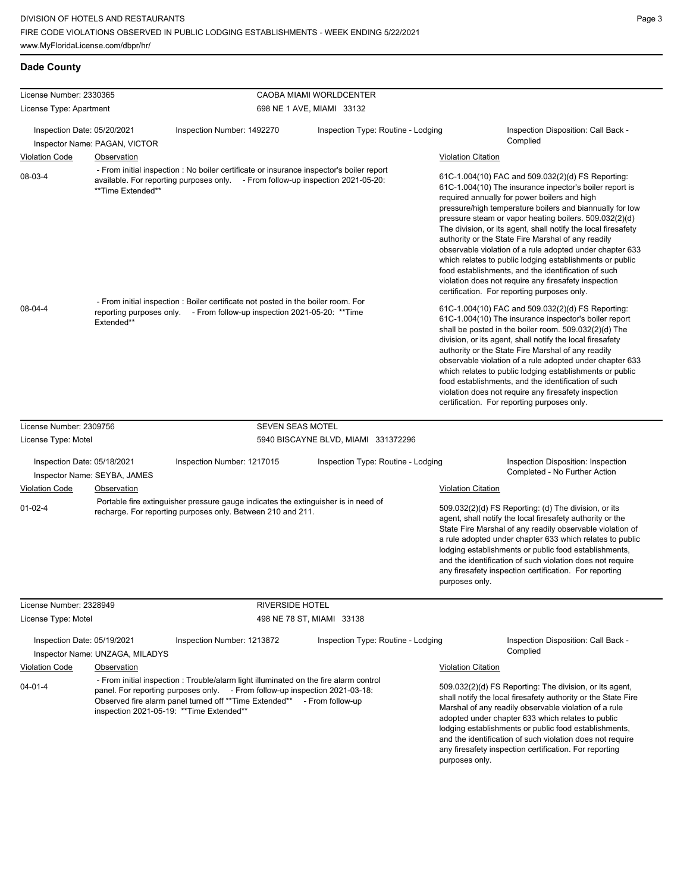| License Number: 2330365     |                                 |                                                                                                                                                                                                                                                                                                                                             | CAOBA MIAMI WORLDCENTER            |                                                                                                                                                                                                                                                                                                                                                                                                                                                                                                                                                                                                                                                                                                                                                                                                                                                                                                                                                                                                                                                                                                                                                                                                                                                                                 |                                                                                                                                                                                   |  |
|-----------------------------|---------------------------------|---------------------------------------------------------------------------------------------------------------------------------------------------------------------------------------------------------------------------------------------------------------------------------------------------------------------------------------------|------------------------------------|---------------------------------------------------------------------------------------------------------------------------------------------------------------------------------------------------------------------------------------------------------------------------------------------------------------------------------------------------------------------------------------------------------------------------------------------------------------------------------------------------------------------------------------------------------------------------------------------------------------------------------------------------------------------------------------------------------------------------------------------------------------------------------------------------------------------------------------------------------------------------------------------------------------------------------------------------------------------------------------------------------------------------------------------------------------------------------------------------------------------------------------------------------------------------------------------------------------------------------------------------------------------------------|-----------------------------------------------------------------------------------------------------------------------------------------------------------------------------------|--|
| License Type: Apartment     |                                 |                                                                                                                                                                                                                                                                                                                                             | 698 NE 1 AVE, MIAMI 33132          |                                                                                                                                                                                                                                                                                                                                                                                                                                                                                                                                                                                                                                                                                                                                                                                                                                                                                                                                                                                                                                                                                                                                                                                                                                                                                 |                                                                                                                                                                                   |  |
| Inspection Date: 05/20/2021 | Inspector Name: PAGAN, VICTOR   | Inspection Number: 1492270                                                                                                                                                                                                                                                                                                                  | Inspection Type: Routine - Lodging |                                                                                                                                                                                                                                                                                                                                                                                                                                                                                                                                                                                                                                                                                                                                                                                                                                                                                                                                                                                                                                                                                                                                                                                                                                                                                 | Inspection Disposition: Call Back -<br>Complied                                                                                                                                   |  |
| <b>Violation Code</b>       | Observation                     |                                                                                                                                                                                                                                                                                                                                             |                                    | <b>Violation Citation</b>                                                                                                                                                                                                                                                                                                                                                                                                                                                                                                                                                                                                                                                                                                                                                                                                                                                                                                                                                                                                                                                                                                                                                                                                                                                       |                                                                                                                                                                                   |  |
| 08-03-4<br>08-04-4          | **Time Extended**<br>Extended** | - From initial inspection : No boiler certificate or insurance inspector's boiler report<br>available. For reporting purposes only. - From follow-up inspection 2021-05-20:<br>- From initial inspection : Boiler certificate not posted in the boiler room. For<br>reporting purposes only. - From follow-up inspection 2021-05-20: **Time |                                    | 61C-1.004(10) FAC and 509.032(2)(d) FS Reporting:<br>61C-1.004(10) The insurance inpector's boiler report is<br>required annually for power boilers and high<br>pressure/high temperature boilers and biannually for low<br>pressure steam or vapor heating boilers. 509.032(2)(d)<br>The division, or its agent, shall notify the local firesafety<br>authority or the State Fire Marshal of any readily<br>observable violation of a rule adopted under chapter 633<br>which relates to public lodging establishments or public<br>food establishments, and the identification of such<br>violation does not require any firesafety inspection<br>certification. For reporting purposes only.<br>61C-1.004(10) FAC and 509.032(2)(d) FS Reporting:<br>61C-1.004(10) The insurance inspector's boiler report<br>shall be posted in the boiler room. 509.032(2)(d) The<br>division, or its agent, shall notify the local firesafety<br>authority or the State Fire Marshal of any readily<br>observable violation of a rule adopted under chapter 633<br>which relates to public lodging establishments or public<br>food establishments, and the identification of such<br>violation does not require any firesafety inspection<br>certification. For reporting purposes only. |                                                                                                                                                                                   |  |
| License Number: 2309756     |                                 |                                                                                                                                                                                                                                                                                                                                             |                                    |                                                                                                                                                                                                                                                                                                                                                                                                                                                                                                                                                                                                                                                                                                                                                                                                                                                                                                                                                                                                                                                                                                                                                                                                                                                                                 |                                                                                                                                                                                   |  |
| License Type: Motel         |                                 | <b>SEVEN SEAS MOTEL</b><br>5940 BISCAYNE BLVD, MIAMI 331372296                                                                                                                                                                                                                                                                              |                                    |                                                                                                                                                                                                                                                                                                                                                                                                                                                                                                                                                                                                                                                                                                                                                                                                                                                                                                                                                                                                                                                                                                                                                                                                                                                                                 |                                                                                                                                                                                   |  |
| Inspection Date: 05/18/2021 | Inspector Name: SEYBA, JAMES    | Inspection Number: 1217015                                                                                                                                                                                                                                                                                                                  | Inspection Type: Routine - Lodging |                                                                                                                                                                                                                                                                                                                                                                                                                                                                                                                                                                                                                                                                                                                                                                                                                                                                                                                                                                                                                                                                                                                                                                                                                                                                                 | Inspection Disposition: Inspection<br>Completed - No Further Action                                                                                                               |  |
| <b>Violation Code</b>       | Observation                     |                                                                                                                                                                                                                                                                                                                                             |                                    | <b>Violation Citation</b>                                                                                                                                                                                                                                                                                                                                                                                                                                                                                                                                                                                                                                                                                                                                                                                                                                                                                                                                                                                                                                                                                                                                                                                                                                                       |                                                                                                                                                                                   |  |
| $01 - 02 - 4$               |                                 | Portable fire extinguisher pressure gauge indicates the extinguisher is in need of<br>recharge. For reporting purposes only. Between 210 and 211.                                                                                                                                                                                           |                                    | 509.032(2)(d) FS Reporting: (d) The division, or its<br>agent, shall notify the local firesafety authority or the<br>State Fire Marshal of any readily observable violation of<br>a rule adopted under chapter 633 which relates to public<br>lodging establishments or public food establishments,<br>and the identification of such violation does not require<br>any firesafety inspection certification. For reporting<br>purposes only.                                                                                                                                                                                                                                                                                                                                                                                                                                                                                                                                                                                                                                                                                                                                                                                                                                    |                                                                                                                                                                                   |  |
| License Number: 2328949     |                                 |                                                                                                                                                                                                                                                                                                                                             | <b>RIVERSIDE HOTEL</b>             |                                                                                                                                                                                                                                                                                                                                                                                                                                                                                                                                                                                                                                                                                                                                                                                                                                                                                                                                                                                                                                                                                                                                                                                                                                                                                 |                                                                                                                                                                                   |  |
| License Type: Motel         |                                 |                                                                                                                                                                                                                                                                                                                                             | 498 NE 78 ST, MIAMI 33138          |                                                                                                                                                                                                                                                                                                                                                                                                                                                                                                                                                                                                                                                                                                                                                                                                                                                                                                                                                                                                                                                                                                                                                                                                                                                                                 |                                                                                                                                                                                   |  |
| Inspection Date: 05/19/2021 | Inspector Name: UNZAGA, MILADYS | Inspection Number: 1213872                                                                                                                                                                                                                                                                                                                  | Inspection Type: Routine - Lodging |                                                                                                                                                                                                                                                                                                                                                                                                                                                                                                                                                                                                                                                                                                                                                                                                                                                                                                                                                                                                                                                                                                                                                                                                                                                                                 | Inspection Disposition: Call Back -<br>Complied                                                                                                                                   |  |
| <b>Violation Code</b>       | Observation                     |                                                                                                                                                                                                                                                                                                                                             |                                    | <b>Violation Citation</b>                                                                                                                                                                                                                                                                                                                                                                                                                                                                                                                                                                                                                                                                                                                                                                                                                                                                                                                                                                                                                                                                                                                                                                                                                                                       |                                                                                                                                                                                   |  |
| $04 - 01 - 4$               |                                 | - From initial inspection : Trouble/alarm light illuminated on the fire alarm control<br>panel. For reporting purposes only. - From follow-up inspection 2021-03-18:<br>Observed fire alarm panel turned off ** Time Extended**<br>- From follow-up                                                                                         |                                    |                                                                                                                                                                                                                                                                                                                                                                                                                                                                                                                                                                                                                                                                                                                                                                                                                                                                                                                                                                                                                                                                                                                                                                                                                                                                                 | 509.032(2)(d) FS Reporting: The division, or its agent,<br>shall notify the local firesafety authority or the State Fire<br>Marshal of any roadily observable violation of a rule |  |

inspection 2021-05-19: \*\*Time Extended\*\*

Marshal of any readily observable violation of a rule adopted under chapter 633 which relates to public lodging establishments or public food establishments, and the identification of such violation does not require any firesafety inspection certification. For reporting purposes only.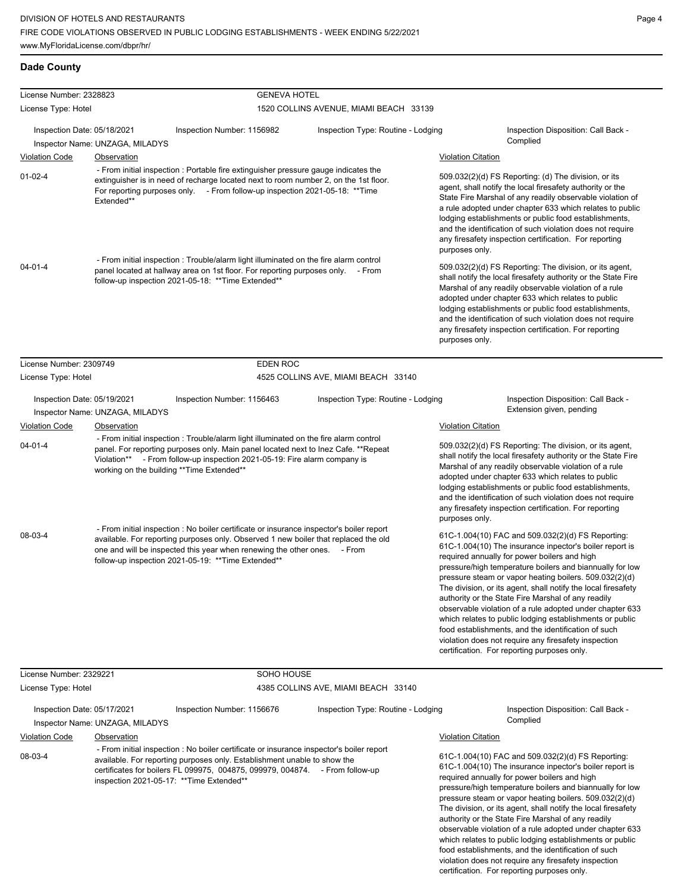| License Number: 2328823                                                                                                                                                                                                                                                               |                                 | <b>GENEVA HOTEL</b>                                                                                                                                                                                                                                                                                                |                                        |                           |                                                                                                                                                                                                                                                                                                                                                                                                                                                                                                                                                                                                                                                                                                 |
|---------------------------------------------------------------------------------------------------------------------------------------------------------------------------------------------------------------------------------------------------------------------------------------|---------------------------------|--------------------------------------------------------------------------------------------------------------------------------------------------------------------------------------------------------------------------------------------------------------------------------------------------------------------|----------------------------------------|---------------------------|-------------------------------------------------------------------------------------------------------------------------------------------------------------------------------------------------------------------------------------------------------------------------------------------------------------------------------------------------------------------------------------------------------------------------------------------------------------------------------------------------------------------------------------------------------------------------------------------------------------------------------------------------------------------------------------------------|
| License Type: Hotel                                                                                                                                                                                                                                                                   |                                 |                                                                                                                                                                                                                                                                                                                    | 1520 COLLINS AVENUE, MIAMI BEACH 33139 |                           |                                                                                                                                                                                                                                                                                                                                                                                                                                                                                                                                                                                                                                                                                                 |
| Inspection Date: 05/18/2021                                                                                                                                                                                                                                                           |                                 | Inspection Number: 1156982                                                                                                                                                                                                                                                                                         | Inspection Type: Routine - Lodging     |                           | Inspection Disposition: Call Back -                                                                                                                                                                                                                                                                                                                                                                                                                                                                                                                                                                                                                                                             |
|                                                                                                                                                                                                                                                                                       | Inspector Name: UNZAGA, MILADYS |                                                                                                                                                                                                                                                                                                                    |                                        |                           | Complied                                                                                                                                                                                                                                                                                                                                                                                                                                                                                                                                                                                                                                                                                        |
| <b>Violation Code</b>                                                                                                                                                                                                                                                                 | <b>Observation</b>              |                                                                                                                                                                                                                                                                                                                    |                                        | <b>Violation Citation</b> |                                                                                                                                                                                                                                                                                                                                                                                                                                                                                                                                                                                                                                                                                                 |
| - From initial inspection : Portable fire extinguisher pressure gauge indicates the<br>$01-02-4$<br>extinguisher is in need of recharge located next to room number 2, on the 1st floor.<br>For reporting purposes only. - From follow-up inspection 2021-05-18: **Time<br>Extended** |                                 |                                                                                                                                                                                                                                                                                                                    |                                        | purposes only.            | 509.032(2)(d) FS Reporting: (d) The division, or its<br>agent, shall notify the local firesafety authority or the<br>State Fire Marshal of any readily observable violation of<br>a rule adopted under chapter 633 which relates to public<br>lodging establishments or public food establishments,<br>and the identification of such violation does not require<br>any firesafety inspection certification. For reporting                                                                                                                                                                                                                                                                      |
| $04 - 01 - 4$                                                                                                                                                                                                                                                                         |                                 | - From initial inspection : Trouble/alarm light illuminated on the fire alarm control<br>panel located at hallway area on 1st floor. For reporting purposes only. - From<br>follow-up inspection 2021-05-18: ** Time Extended**                                                                                    |                                        | purposes only.            | 509.032(2)(d) FS Reporting: The division, or its agent,<br>shall notify the local firesafety authority or the State Fire<br>Marshal of any readily observable violation of a rule<br>adopted under chapter 633 which relates to public<br>lodging establishments or public food establishments,<br>and the identification of such violation does not require<br>any firesafety inspection certification. For reporting                                                                                                                                                                                                                                                                          |
| License Number: 2309749                                                                                                                                                                                                                                                               |                                 | <b>EDEN ROC</b>                                                                                                                                                                                                                                                                                                    |                                        |                           |                                                                                                                                                                                                                                                                                                                                                                                                                                                                                                                                                                                                                                                                                                 |
| License Type: Hotel                                                                                                                                                                                                                                                                   |                                 |                                                                                                                                                                                                                                                                                                                    | 4525 COLLINS AVE, MIAMI BEACH 33140    |                           |                                                                                                                                                                                                                                                                                                                                                                                                                                                                                                                                                                                                                                                                                                 |
| Inspection Date: 05/19/2021                                                                                                                                                                                                                                                           | Inspector Name: UNZAGA, MILADYS | Inspection Number: 1156463                                                                                                                                                                                                                                                                                         | Inspection Type: Routine - Lodging     |                           | Inspection Disposition: Call Back -<br>Extension given, pending                                                                                                                                                                                                                                                                                                                                                                                                                                                                                                                                                                                                                                 |
| <b>Violation Code</b>                                                                                                                                                                                                                                                                 | Observation                     | - From initial inspection: Trouble/alarm light illuminated on the fire alarm control<br>panel. For reporting purposes only. Main panel located next to lnez Cafe. **Repeat<br>Violation** - From follow-up inspection 2021-05-19: Fire alarm company is<br>working on the building ** Time Extended**              |                                        |                           |                                                                                                                                                                                                                                                                                                                                                                                                                                                                                                                                                                                                                                                                                                 |
| $04 - 01 - 4$                                                                                                                                                                                                                                                                         |                                 |                                                                                                                                                                                                                                                                                                                    |                                        |                           | 509.032(2)(d) FS Reporting: The division, or its agent,<br>shall notify the local firesafety authority or the State Fire<br>Marshal of any readily observable violation of a rule<br>adopted under chapter 633 which relates to public<br>lodging establishments or public food establishments,<br>and the identification of such violation does not require<br>any firesafety inspection certification. For reporting                                                                                                                                                                                                                                                                          |
| 08-03-4                                                                                                                                                                                                                                                                               |                                 | - From initial inspection : No boiler certificate or insurance inspector's boiler report<br>available. For reporting purposes only. Observed 1 new boiler that replaced the old<br>one and will be inspected this year when renewing the other ones. - From<br>follow-up inspection 2021-05-19: ** Time Extended** |                                        |                           | 61C-1.004(10) FAC and 509.032(2)(d) FS Reporting:<br>61C-1.004(10) The insurance inpector's boiler report is<br>required annually for power boilers and high<br>pressure/high temperature boilers and biannually for low<br>pressure steam or vapor heating boilers. 509.032(2)(d)<br>The division, or its agent, shall notify the local firesafety<br>authority or the State Fire Marshal of any readily<br>observable violation of a rule adopted under chapter 633<br>which relates to public lodging establishments or public<br>food establishments, and the identification of such<br>violation does not require any firesafety inspection<br>certification. For reporting purposes only. |
| License Number: 2329221                                                                                                                                                                                                                                                               |                                 | SOHO HOUSE                                                                                                                                                                                                                                                                                                         |                                        |                           |                                                                                                                                                                                                                                                                                                                                                                                                                                                                                                                                                                                                                                                                                                 |
| License Type: Hotel                                                                                                                                                                                                                                                                   |                                 |                                                                                                                                                                                                                                                                                                                    | 4385 COLLINS AVE, MIAMI BEACH 33140    |                           |                                                                                                                                                                                                                                                                                                                                                                                                                                                                                                                                                                                                                                                                                                 |
| Inspection Date: 05/17/2021                                                                                                                                                                                                                                                           |                                 | Inspection Number: 1156676                                                                                                                                                                                                                                                                                         | Inspection Type: Routine - Lodging     |                           | Inspection Disposition: Call Back -                                                                                                                                                                                                                                                                                                                                                                                                                                                                                                                                                                                                                                                             |
|                                                                                                                                                                                                                                                                                       | Inspector Name: UNZAGA, MILADYS |                                                                                                                                                                                                                                                                                                                    |                                        |                           | Complied                                                                                                                                                                                                                                                                                                                                                                                                                                                                                                                                                                                                                                                                                        |
| <b>Violation Code</b>                                                                                                                                                                                                                                                                 | <b>Observation</b>              |                                                                                                                                                                                                                                                                                                                    |                                        | <b>Violation Citation</b> |                                                                                                                                                                                                                                                                                                                                                                                                                                                                                                                                                                                                                                                                                                 |
| 08-03-4                                                                                                                                                                                                                                                                               |                                 | - From initial inspection : No boiler certificate or insurance inspector's boiler report<br>available. For reporting purposes only. Establishment unable to show the<br>certificates for boilers FL 099975, 004875, 099979, 004874. - From follow-up<br>inspection 2021-05-17: ** Time Extended**                  |                                        |                           | 61C-1.004(10) FAC and 509.032(2)(d) FS Reporting:<br>61C-1.004(10) The insurance inpector's boiler report is<br>required annually for power boilers and high<br>pressure/high temperature boilers and biannually for low<br>pressure steam or vapor heating boilers. 509.032(2)(d)<br>The division, or its agent, shall notify the local firesafety<br>authority or the State Fire Marshal of any readily                                                                                                                                                                                                                                                                                       |

authority or the State Fire Marshal of any readily observable violation of a rule adopted under chapter 633 which relates to public lodging establishments or public food establishments, and the identification of such violation does not require any firesafety inspection certification. For reporting purposes only.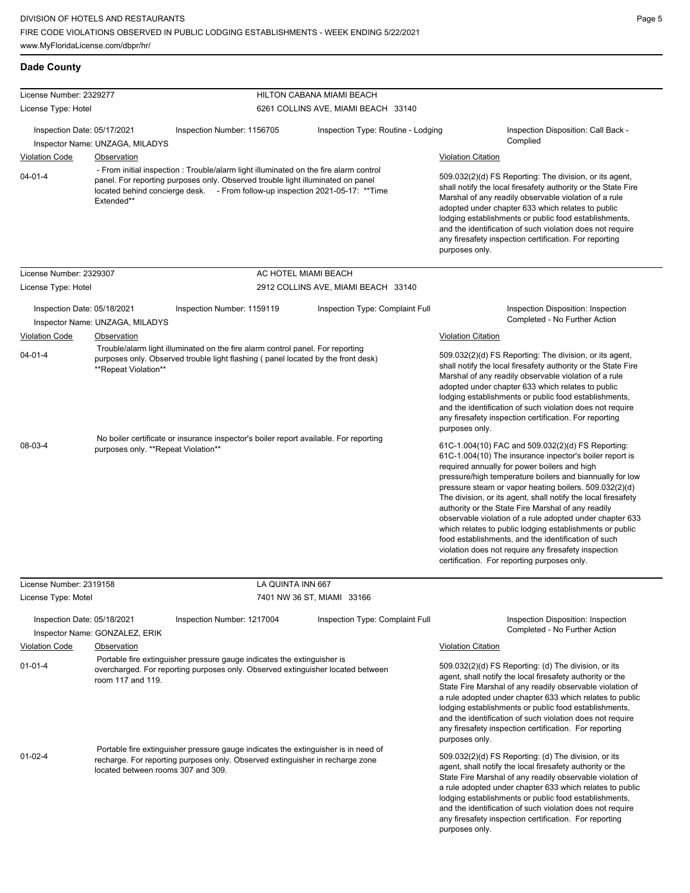| License Number: 2329277                                                                                                                                                                                     |                                                                                                                                                                                 |                                                                                                                                                                                                                                                            | HILTON CABANA MIAMI BEACH           |                                                                                                                                                                                                                                                                                                                                                                                                                                                                                                                                                                                                                                                                                                 |
|-------------------------------------------------------------------------------------------------------------------------------------------------------------------------------------------------------------|---------------------------------------------------------------------------------------------------------------------------------------------------------------------------------|------------------------------------------------------------------------------------------------------------------------------------------------------------------------------------------------------------------------------------------------------------|-------------------------------------|-------------------------------------------------------------------------------------------------------------------------------------------------------------------------------------------------------------------------------------------------------------------------------------------------------------------------------------------------------------------------------------------------------------------------------------------------------------------------------------------------------------------------------------------------------------------------------------------------------------------------------------------------------------------------------------------------|
| License Type: Hotel                                                                                                                                                                                         |                                                                                                                                                                                 |                                                                                                                                                                                                                                                            | 6261 COLLINS AVE, MIAMI BEACH 33140 |                                                                                                                                                                                                                                                                                                                                                                                                                                                                                                                                                                                                                                                                                                 |
| Inspection Date: 05/17/2021                                                                                                                                                                                 | Inspector Name: UNZAGA, MILADYS                                                                                                                                                 | Inspection Number: 1156705                                                                                                                                                                                                                                 | Inspection Type: Routine - Lodging  | Inspection Disposition: Call Back -<br>Complied                                                                                                                                                                                                                                                                                                                                                                                                                                                                                                                                                                                                                                                 |
| <b>Violation Code</b>                                                                                                                                                                                       | Observation                                                                                                                                                                     |                                                                                                                                                                                                                                                            |                                     | <b>Violation Citation</b>                                                                                                                                                                                                                                                                                                                                                                                                                                                                                                                                                                                                                                                                       |
| $04 - 01 - 4$                                                                                                                                                                                               | Extended**                                                                                                                                                                      | - From initial inspection : Trouble/alarm light illuminated on the fire alarm control<br>panel. For reporting purposes only. Observed trouble light illuminated on panel<br>located behind concierge desk. - From follow-up inspection 2021-05-17: ** Time |                                     | 509.032(2)(d) FS Reporting: The division, or its agent,<br>shall notify the local firesafety authority or the State Fire<br>Marshal of any readily observable violation of a rule<br>adopted under chapter 633 which relates to public<br>lodging establishments or public food establishments,<br>and the identification of such violation does not require<br>any firesafety inspection certification. For reporting<br>purposes only.                                                                                                                                                                                                                                                        |
| License Number: 2329307                                                                                                                                                                                     |                                                                                                                                                                                 | AC HOTEL MIAMI BEACH                                                                                                                                                                                                                                       |                                     |                                                                                                                                                                                                                                                                                                                                                                                                                                                                                                                                                                                                                                                                                                 |
| License Type: Hotel                                                                                                                                                                                         |                                                                                                                                                                                 |                                                                                                                                                                                                                                                            | 2912 COLLINS AVE, MIAMI BEACH 33140 |                                                                                                                                                                                                                                                                                                                                                                                                                                                                                                                                                                                                                                                                                                 |
| Inspection Date: 05/18/2021                                                                                                                                                                                 | Inspector Name: UNZAGA, MILADYS                                                                                                                                                 | Inspection Number: 1159119                                                                                                                                                                                                                                 | Inspection Type: Complaint Full     | Inspection Disposition: Inspection<br>Completed - No Further Action                                                                                                                                                                                                                                                                                                                                                                                                                                                                                                                                                                                                                             |
| <b>Violation Code</b>                                                                                                                                                                                       | Observation                                                                                                                                                                     |                                                                                                                                                                                                                                                            |                                     | <b>Violation Citation</b>                                                                                                                                                                                                                                                                                                                                                                                                                                                                                                                                                                                                                                                                       |
| Trouble/alarm light illuminated on the fire alarm control panel. For reporting<br>$04 - 01 - 4$<br>purposes only. Observed trouble light flashing (panel located by the front desk)<br>**Repeat Violation** |                                                                                                                                                                                 |                                                                                                                                                                                                                                                            |                                     | 509.032(2)(d) FS Reporting: The division, or its agent,<br>shall notify the local firesafety authority or the State Fire<br>Marshal of any readily observable violation of a rule<br>adopted under chapter 633 which relates to public<br>lodging establishments or public food establishments,<br>and the identification of such violation does not require<br>any firesafety inspection certification. For reporting<br>purposes only.                                                                                                                                                                                                                                                        |
| 08-03-4                                                                                                                                                                                                     | purposes only. **Repeat Violation**                                                                                                                                             | No boiler certificate or insurance inspector's boiler report available. For reporting                                                                                                                                                                      |                                     | 61C-1.004(10) FAC and 509.032(2)(d) FS Reporting:<br>61C-1.004(10) The insurance inpector's boiler report is<br>required annually for power boilers and high<br>pressure/high temperature boilers and biannually for low<br>pressure steam or vapor heating boilers. 509.032(2)(d)<br>The division, or its agent, shall notify the local firesafety<br>authority or the State Fire Marshal of any readily<br>observable violation of a rule adopted under chapter 633<br>which relates to public lodging establishments or public<br>food establishments, and the identification of such<br>violation does not require any firesafety inspection<br>certification. For reporting purposes only. |
| License Number: 2319158                                                                                                                                                                                     |                                                                                                                                                                                 | LA QUINTA INN 667                                                                                                                                                                                                                                          |                                     |                                                                                                                                                                                                                                                                                                                                                                                                                                                                                                                                                                                                                                                                                                 |
| License Type: Motel                                                                                                                                                                                         |                                                                                                                                                                                 | 7401 NW 36 ST, MIAMI 33166                                                                                                                                                                                                                                 |                                     |                                                                                                                                                                                                                                                                                                                                                                                                                                                                                                                                                                                                                                                                                                 |
| Inspection Date: 05/18/2021                                                                                                                                                                                 | Inspector Name: GONZALEZ, ERIK                                                                                                                                                  | Inspection Number: 1217004                                                                                                                                                                                                                                 | Inspection Type: Complaint Full     | Inspection Disposition: Inspection<br>Completed - No Further Action                                                                                                                                                                                                                                                                                                                                                                                                                                                                                                                                                                                                                             |
| <b>Violation Code</b>                                                                                                                                                                                       | Observation                                                                                                                                                                     |                                                                                                                                                                                                                                                            |                                     | <b>Violation Citation</b>                                                                                                                                                                                                                                                                                                                                                                                                                                                                                                                                                                                                                                                                       |
| $01 - 01 - 4$                                                                                                                                                                                               | Portable fire extinguisher pressure gauge indicates the extinguisher is<br>overcharged. For reporting purposes only. Observed extinguisher located between<br>room 117 and 119. |                                                                                                                                                                                                                                                            |                                     | 509.032(2)(d) FS Reporting: (d) The division, or its<br>agent, shall notify the local firesafety authority or the<br>State Fire Marshal of any readily observable violation of<br>a rule adopted under chapter 633 which relates to public<br>lodging establishments or public food establishments,<br>and the identification of such violation does not require<br>any firesafety inspection certification. For reporting<br>purposes only.                                                                                                                                                                                                                                                    |
| $01 - 02 - 4$                                                                                                                                                                                               | located between rooms 307 and 309.                                                                                                                                              | Portable fire extinguisher pressure gauge indicates the extinguisher is in need of<br>recharge. For reporting purposes only. Observed extinguisher in recharge zone                                                                                        |                                     | 509.032(2)(d) FS Reporting: (d) The division, or its<br>agent, shall notify the local firesafety authority or the<br>State Fire Marshal of any readily observable violation of<br>a rule adopted under chapter 633 which relates to public<br>lodging establishments or public food establishments,<br>and the identification of such violation does not require<br>any firesafety inspection certification. For reporting                                                                                                                                                                                                                                                                      |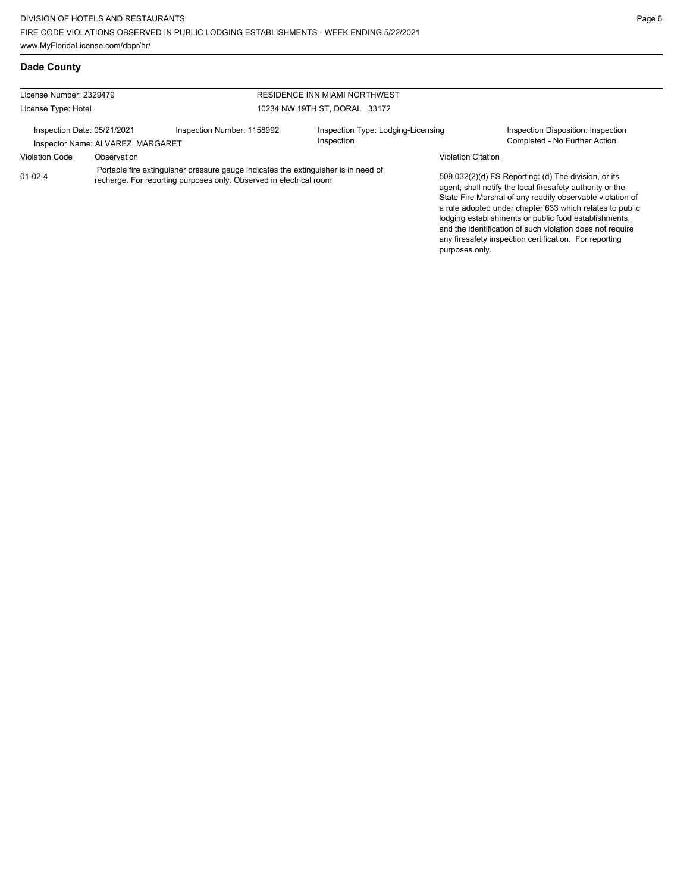| License Number: 2329479                                          |                                                                                                                                                          |                            | <b>RESIDENCE INN MIAMI NORTHWEST</b>             |                                                                                                                                                                                                                                                                                                                                                                                                                            |  |  |  |
|------------------------------------------------------------------|----------------------------------------------------------------------------------------------------------------------------------------------------------|----------------------------|--------------------------------------------------|----------------------------------------------------------------------------------------------------------------------------------------------------------------------------------------------------------------------------------------------------------------------------------------------------------------------------------------------------------------------------------------------------------------------------|--|--|--|
| License Type: Hotel                                              |                                                                                                                                                          |                            | 10234 NW 19TH ST. DORAL 33172                    |                                                                                                                                                                                                                                                                                                                                                                                                                            |  |  |  |
| Inspection Date: 05/21/2021<br>Inspector Name: ALVAREZ, MARGARET |                                                                                                                                                          | Inspection Number: 1158992 | Inspection Type: Lodging-Licensing<br>Inspection | Inspection Disposition: Inspection<br>Completed - No Further Action                                                                                                                                                                                                                                                                                                                                                        |  |  |  |
| <b>Violation Code</b>                                            | Observation                                                                                                                                              |                            |                                                  | <b>Violation Citation</b>                                                                                                                                                                                                                                                                                                                                                                                                  |  |  |  |
| $01 - 02 - 4$                                                    | Portable fire extinguisher pressure gauge indicates the extinguisher is in need of<br>recharge. For reporting purposes only. Observed in electrical room |                            |                                                  | 509.032(2)(d) FS Reporting: (d) The division, or its<br>agent, shall notify the local firesafety authority or the<br>State Fire Marshal of any readily observable violation of<br>a rule adopted under chapter 633 which relates to public<br>lodging establishments or public food establishments,<br>and the identification of such violation does not require<br>any firesafety inspection certification. For reporting |  |  |  |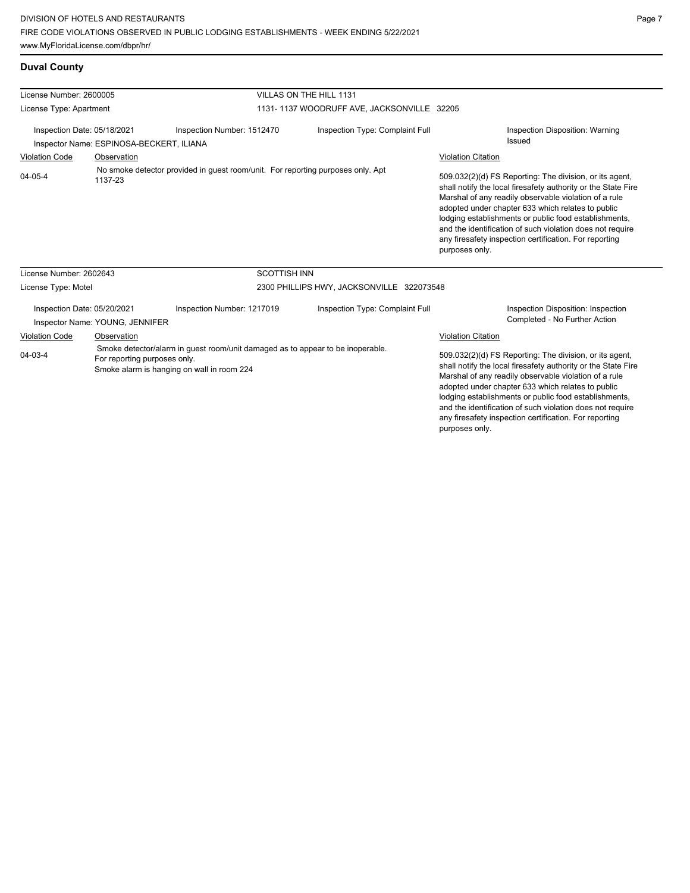## **Duval County**

| License Number: 2600005                                                 |                                                                                            |                                                                                                                              | VILLAS ON THE HILL 1131                    |                                                                                                                                                                                                                                                                                                                                                                                                                                          |  |  |
|-------------------------------------------------------------------------|--------------------------------------------------------------------------------------------|------------------------------------------------------------------------------------------------------------------------------|--------------------------------------------|------------------------------------------------------------------------------------------------------------------------------------------------------------------------------------------------------------------------------------------------------------------------------------------------------------------------------------------------------------------------------------------------------------------------------------------|--|--|
| License Type: Apartment                                                 |                                                                                            |                                                                                                                              | 1131-1137 WOODRUFF AVE, JACKSONVILLE 32205 |                                                                                                                                                                                                                                                                                                                                                                                                                                          |  |  |
| Inspection Date: 05/18/2021<br>Inspector Name: ESPINOSA-BECKERT, ILIANA |                                                                                            | Inspection Number: 1512470                                                                                                   | Inspection Type: Complaint Full            | Inspection Disposition: Warning<br><b>Issued</b>                                                                                                                                                                                                                                                                                                                                                                                         |  |  |
| <b>Violation Code</b><br>Observation                                    |                                                                                            |                                                                                                                              |                                            | <b>Violation Citation</b>                                                                                                                                                                                                                                                                                                                                                                                                                |  |  |
| $04 - 05 - 4$                                                           | No smoke detector provided in guest room/unit. For reporting purposes only. Apt<br>1137-23 |                                                                                                                              |                                            | 509.032(2)(d) FS Reporting: The division, or its agent,<br>shall notify the local firesafety authority or the State Fire<br>Marshal of any readily observable violation of a rule<br>adopted under chapter 633 which relates to public<br>lodging establishments or public food establishments,<br>and the identification of such violation does not require<br>any firesafety inspection certification. For reporting<br>purposes only. |  |  |
| License Number: 2602643                                                 |                                                                                            | <b>SCOTTISH INN</b>                                                                                                          |                                            |                                                                                                                                                                                                                                                                                                                                                                                                                                          |  |  |
| License Type: Motel                                                     |                                                                                            |                                                                                                                              | 2300 PHILLIPS HWY, JACKSONVILLE 322073548  |                                                                                                                                                                                                                                                                                                                                                                                                                                          |  |  |
| Inspection Date: 05/20/2021<br>Inspector Name: YOUNG, JENNIFER          |                                                                                            | Inspection Number: 1217019                                                                                                   | Inspection Type: Complaint Full            | Inspection Disposition: Inspection<br>Completed - No Further Action                                                                                                                                                                                                                                                                                                                                                                      |  |  |
| <b>Violation Code</b>                                                   | Observation                                                                                |                                                                                                                              |                                            | <b>Violation Citation</b>                                                                                                                                                                                                                                                                                                                                                                                                                |  |  |
| $04 - 03 - 4$<br>For reporting purposes only.                           |                                                                                            | Smoke detector/alarm in guest room/unit damaged as to appear to be inoperable.<br>Smoke alarm is hanging on wall in room 224 |                                            | 509.032(2)(d) FS Reporting: The division, or its agent,<br>shall notify the local firesafety authority or the State Fire<br>Marshal of any readily observable violation of a rule<br>adopted under chapter 633 which relates to public<br>lodging establishments or public food establishments,<br>and the identification of such violation does not require<br>any firesafety inspection certification. For reporting<br>purposes only. |  |  |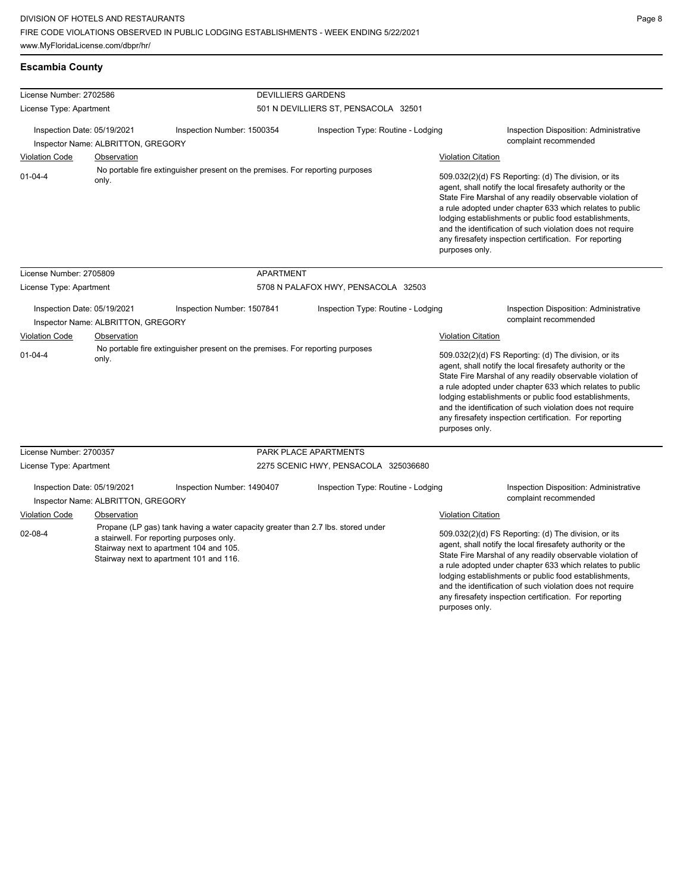**Escambia County**

License Number: 2702586

and the identification of such violation does not require any firesafety inspection certification. For reporting

purposes only.

| License Type: Apartment     |                                    |                                                                                                                                                                                                                     | 501 N DEVILLIERS ST, PENSACOLA 32501 |                           |                                                                                                                                                                                                                                                                                                                                                                                                                            |
|-----------------------------|------------------------------------|---------------------------------------------------------------------------------------------------------------------------------------------------------------------------------------------------------------------|--------------------------------------|---------------------------|----------------------------------------------------------------------------------------------------------------------------------------------------------------------------------------------------------------------------------------------------------------------------------------------------------------------------------------------------------------------------------------------------------------------------|
| Inspection Date: 05/19/2021 | Inspector Name: ALBRITTON, GREGORY | Inspection Number: 1500354                                                                                                                                                                                          | Inspection Type: Routine - Lodging   |                           | <b>Inspection Disposition: Administrative</b><br>complaint recommended                                                                                                                                                                                                                                                                                                                                                     |
| <b>Violation Code</b>       | Observation                        |                                                                                                                                                                                                                     |                                      | <b>Violation Citation</b> |                                                                                                                                                                                                                                                                                                                                                                                                                            |
| $01 - 04 - 4$               | only.                              | No portable fire extinguisher present on the premises. For reporting purposes                                                                                                                                       |                                      | purposes only.            | 509.032(2)(d) FS Reporting: (d) The division, or its<br>agent, shall notify the local firesafety authority or the<br>State Fire Marshal of any readily observable violation of<br>a rule adopted under chapter 633 which relates to public<br>lodging establishments or public food establishments,<br>and the identification of such violation does not require<br>any firesafety inspection certification. For reporting |
| License Number: 2705809     |                                    | APARTMENT                                                                                                                                                                                                           |                                      |                           |                                                                                                                                                                                                                                                                                                                                                                                                                            |
| License Type: Apartment     |                                    |                                                                                                                                                                                                                     | 5708 N PALAFOX HWY, PENSACOLA 32503  |                           |                                                                                                                                                                                                                                                                                                                                                                                                                            |
| Inspection Date: 05/19/2021 | Inspector Name: ALBRITTON, GREGORY | Inspection Number: 1507841                                                                                                                                                                                          | Inspection Type: Routine - Lodging   |                           | <b>Inspection Disposition: Administrative</b><br>complaint recommended                                                                                                                                                                                                                                                                                                                                                     |
| <b>Violation Code</b>       | Observation                        |                                                                                                                                                                                                                     |                                      | <b>Violation Citation</b> |                                                                                                                                                                                                                                                                                                                                                                                                                            |
| $01 - 04 - 4$               | only.                              | No portable fire extinguisher present on the premises. For reporting purposes                                                                                                                                       |                                      | purposes only.            | 509.032(2)(d) FS Reporting: (d) The division, or its<br>agent, shall notify the local firesafety authority or the<br>State Fire Marshal of any readily observable violation of<br>a rule adopted under chapter 633 which relates to public<br>lodging establishments or public food establishments,<br>and the identification of such violation does not require<br>any firesafety inspection certification. For reporting |
| License Number: 2700357     |                                    |                                                                                                                                                                                                                     | PARK PLACE APARTMENTS                |                           |                                                                                                                                                                                                                                                                                                                                                                                                                            |
| License Type: Apartment     |                                    |                                                                                                                                                                                                                     | 2275 SCENIC HWY, PENSACOLA 325036680 |                           |                                                                                                                                                                                                                                                                                                                                                                                                                            |
| Inspection Date: 05/19/2021 | Inspector Name: ALBRITTON, GREGORY | Inspection Number: 1490407                                                                                                                                                                                          | Inspection Type: Routine - Lodging   |                           | <b>Inspection Disposition: Administrative</b><br>complaint recommended                                                                                                                                                                                                                                                                                                                                                     |
| <b>Violation Code</b>       | Observation                        |                                                                                                                                                                                                                     |                                      | <b>Violation Citation</b> |                                                                                                                                                                                                                                                                                                                                                                                                                            |
| $02 - 08 - 4$               |                                    | Propane (LP gas) tank having a water capacity greater than 2.7 lbs. stored under<br>a stairwell. For reporting purposes only.<br>Stairway next to apartment 104 and 105.<br>Stairway next to apartment 101 and 116. |                                      |                           | 509.032(2)(d) FS Reporting: (d) The division, or its<br>agent, shall notify the local firesafety authority or the<br>State Fire Marshal of any readily observable violation of<br>a rule adopted under chapter 633 which relates to public<br>lodging establishments or public food establishments,                                                                                                                        |

DEVILLIERS GARDENS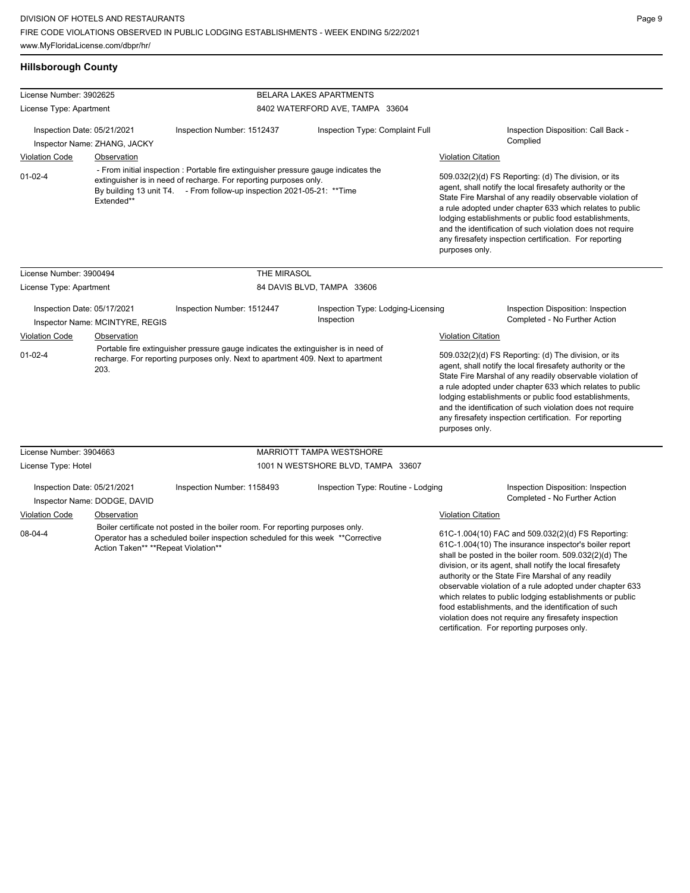## **Hillsborough County**

| License Number: 3902625                                                                                                                                                                                                                                        |                                             |                                                                                                                                                                       | BELARA LAKES APARTMENTS                                                                                                                                                                                                                                                                                                                                                                                                                      |                                                                                                                                                                                                                                                                                                                                                                                                                                                                                                                               |  |
|----------------------------------------------------------------------------------------------------------------------------------------------------------------------------------------------------------------------------------------------------------------|---------------------------------------------|-----------------------------------------------------------------------------------------------------------------------------------------------------------------------|----------------------------------------------------------------------------------------------------------------------------------------------------------------------------------------------------------------------------------------------------------------------------------------------------------------------------------------------------------------------------------------------------------------------------------------------|-------------------------------------------------------------------------------------------------------------------------------------------------------------------------------------------------------------------------------------------------------------------------------------------------------------------------------------------------------------------------------------------------------------------------------------------------------------------------------------------------------------------------------|--|
| License Type: Apartment                                                                                                                                                                                                                                        |                                             |                                                                                                                                                                       | 8402 WATERFORD AVE, TAMPA 33604                                                                                                                                                                                                                                                                                                                                                                                                              |                                                                                                                                                                                                                                                                                                                                                                                                                                                                                                                               |  |
| Inspection Date: 05/21/2021<br><b>Violation Code</b>                                                                                                                                                                                                           | Inspector Name: ZHANG, JACKY<br>Observation | Inspection Number: 1512437                                                                                                                                            | Inspection Type: Complaint Full                                                                                                                                                                                                                                                                                                                                                                                                              | Inspection Disposition: Call Back -<br>Complied<br><b>Violation Citation</b>                                                                                                                                                                                                                                                                                                                                                                                                                                                  |  |
| - From initial inspection : Portable fire extinguisher pressure gauge indicates the<br>$01-02-4$<br>extinguisher is in need of recharge. For reporting purposes only.<br>By building 13 unit T4. - From follow-up inspection 2021-05-21: ** Time<br>Extended** |                                             |                                                                                                                                                                       | 509.032(2)(d) FS Reporting: (d) The division, or its<br>agent, shall notify the local firesafety authority or the<br>State Fire Marshal of any readily observable violation of<br>a rule adopted under chapter 633 which relates to public<br>lodging establishments or public food establishments,<br>and the identification of such violation does not require<br>any firesafety inspection certification. For reporting<br>purposes only. |                                                                                                                                                                                                                                                                                                                                                                                                                                                                                                                               |  |
| License Number: 3900494                                                                                                                                                                                                                                        |                                             | THE MIRASOL                                                                                                                                                           |                                                                                                                                                                                                                                                                                                                                                                                                                                              |                                                                                                                                                                                                                                                                                                                                                                                                                                                                                                                               |  |
| License Type: Apartment                                                                                                                                                                                                                                        |                                             |                                                                                                                                                                       | 84 DAVIS BLVD, TAMPA 33606                                                                                                                                                                                                                                                                                                                                                                                                                   |                                                                                                                                                                                                                                                                                                                                                                                                                                                                                                                               |  |
| Inspection Date: 05/17/2021                                                                                                                                                                                                                                    | Inspector Name: MCINTYRE, REGIS             | Inspection Number: 1512447                                                                                                                                            | Inspection Type: Lodging-Licensing<br>Inspection                                                                                                                                                                                                                                                                                                                                                                                             | Inspection Disposition: Inspection<br>Completed - No Further Action                                                                                                                                                                                                                                                                                                                                                                                                                                                           |  |
| <b>Violation Code</b>                                                                                                                                                                                                                                          | Observation                                 |                                                                                                                                                                       |                                                                                                                                                                                                                                                                                                                                                                                                                                              | <b>Violation Citation</b>                                                                                                                                                                                                                                                                                                                                                                                                                                                                                                     |  |
| $01-02-4$<br>203.                                                                                                                                                                                                                                              |                                             | Portable fire extinguisher pressure gauge indicates the extinguisher is in need of<br>recharge. For reporting purposes only. Next to apartment 409. Next to apartment |                                                                                                                                                                                                                                                                                                                                                                                                                                              | 509.032(2)(d) FS Reporting: (d) The division, or its<br>agent, shall notify the local firesafety authority or the<br>State Fire Marshal of any readily observable violation of<br>a rule adopted under chapter 633 which relates to public<br>lodging establishments or public food establishments,<br>and the identification of such violation does not require<br>any firesafety inspection certification. For reporting<br>purposes only.                                                                                  |  |
| License Number: 3904663                                                                                                                                                                                                                                        |                                             |                                                                                                                                                                       | MARRIOTT TAMPA WESTSHORE                                                                                                                                                                                                                                                                                                                                                                                                                     |                                                                                                                                                                                                                                                                                                                                                                                                                                                                                                                               |  |
| License Type: Hotel                                                                                                                                                                                                                                            |                                             |                                                                                                                                                                       | 1001 N WESTSHORE BLVD, TAMPA 33607                                                                                                                                                                                                                                                                                                                                                                                                           |                                                                                                                                                                                                                                                                                                                                                                                                                                                                                                                               |  |
| Inspection Date: 05/21/2021                                                                                                                                                                                                                                    | Inspector Name: DODGE, DAVID                | Inspection Number: 1158493                                                                                                                                            | Inspection Type: Routine - Lodging                                                                                                                                                                                                                                                                                                                                                                                                           | Inspection Disposition: Inspection<br>Completed - No Further Action<br>Violation Citation                                                                                                                                                                                                                                                                                                                                                                                                                                     |  |
| Violation Code<br>Observation<br>08-04-4<br>Action Taken** **Repeat Violation**                                                                                                                                                                                |                                             | Boiler certificate not posted in the boiler room. For reporting purposes only.<br>Operator has a scheduled boiler inspection scheduled for this week **Corrective     |                                                                                                                                                                                                                                                                                                                                                                                                                                              | 61C-1.004(10) FAC and 509.032(2)(d) FS Reporting:<br>61C-1.004(10) The insurance inspector's boiler report<br>shall be posted in the boiler room. 509.032(2)(d) The<br>division, or its agent, shall notify the local firesafety<br>authority or the State Fire Marshal of any readily<br>observable violation of a rule adopted under chapter 633<br>which relates to public lodging establishments or public<br>food establishments, and the identification of such<br>violation does not require any firesafety inspection |  |

certification. For reporting purposes only.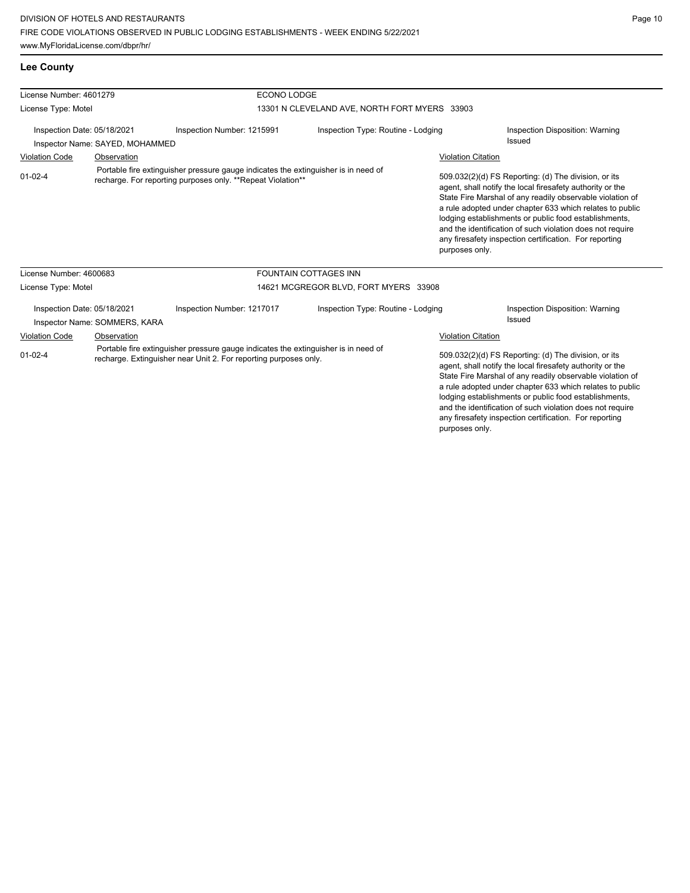**Lee County**

| License Number: 4601279                                                                                                                                                 |                                                                                                                                                   |                            | ECONO LODGE                                   |                                                                                                                                                                                                                                                                                                                                                                                                                                              |                                                  |  |  |
|-------------------------------------------------------------------------------------------------------------------------------------------------------------------------|---------------------------------------------------------------------------------------------------------------------------------------------------|----------------------------|-----------------------------------------------|----------------------------------------------------------------------------------------------------------------------------------------------------------------------------------------------------------------------------------------------------------------------------------------------------------------------------------------------------------------------------------------------------------------------------------------------|--------------------------------------------------|--|--|
| License Type: Motel                                                                                                                                                     |                                                                                                                                                   |                            | 13301 N CLEVELAND AVE, NORTH FORT MYERS 33903 |                                                                                                                                                                                                                                                                                                                                                                                                                                              |                                                  |  |  |
| Inspection Date: 05/18/2021<br>Inspector Name: SAYED, MOHAMMED                                                                                                          |                                                                                                                                                   | Inspection Number: 1215991 | Inspection Type: Routine - Lodging            |                                                                                                                                                                                                                                                                                                                                                                                                                                              | Inspection Disposition: Warning<br>Issued        |  |  |
| <b>Violation Code</b>                                                                                                                                                   | Observation                                                                                                                                       |                            |                                               | <b>Violation Citation</b>                                                                                                                                                                                                                                                                                                                                                                                                                    |                                                  |  |  |
| $01 - 02 - 4$                                                                                                                                                           | Portable fire extinguisher pressure gauge indicates the extinguisher is in need of<br>recharge. For reporting purposes only. **Repeat Violation** |                            |                                               | 509.032(2)(d) FS Reporting: (d) The division, or its<br>agent, shall notify the local firesafety authority or the<br>State Fire Marshal of any readily observable violation of<br>a rule adopted under chapter 633 which relates to public<br>lodging establishments or public food establishments,<br>and the identification of such violation does not require<br>any firesafety inspection certification. For reporting<br>purposes only. |                                                  |  |  |
| License Number: 4600683                                                                                                                                                 |                                                                                                                                                   |                            | <b>FOUNTAIN COTTAGES INN</b>                  |                                                                                                                                                                                                                                                                                                                                                                                                                                              |                                                  |  |  |
| License Type: Motel                                                                                                                                                     |                                                                                                                                                   |                            | 14621 MCGREGOR BLVD, FORT MYERS 33908         |                                                                                                                                                                                                                                                                                                                                                                                                                                              |                                                  |  |  |
| Inspection Date: 05/18/2021                                                                                                                                             | Inspector Name: SOMMERS, KARA                                                                                                                     | Inspection Number: 1217017 | Inspection Type: Routine - Lodging            |                                                                                                                                                                                                                                                                                                                                                                                                                                              | Inspection Disposition: Warning<br><b>Issued</b> |  |  |
| <b>Violation Code</b>                                                                                                                                                   | Observation                                                                                                                                       |                            |                                               | <b>Violation Citation</b>                                                                                                                                                                                                                                                                                                                                                                                                                    |                                                  |  |  |
| Portable fire extinguisher pressure gauge indicates the extinguisher is in need of<br>$01 - 02 - 4$<br>recharge. Extinguisher near Unit 2. For reporting purposes only. |                                                                                                                                                   |                            |                                               | 509.032(2)(d) FS Reporting: (d) The division, or its<br>agent, shall notify the local firesafety authority or the<br>State Fire Marshal of any readily observable violation of<br>a rule adopted under chapter 633 which relates to public<br>lodging establishments or public food establishments,<br>and the identification of such violation does not require<br>any firesafety inspection certification. For reporting                   |                                                  |  |  |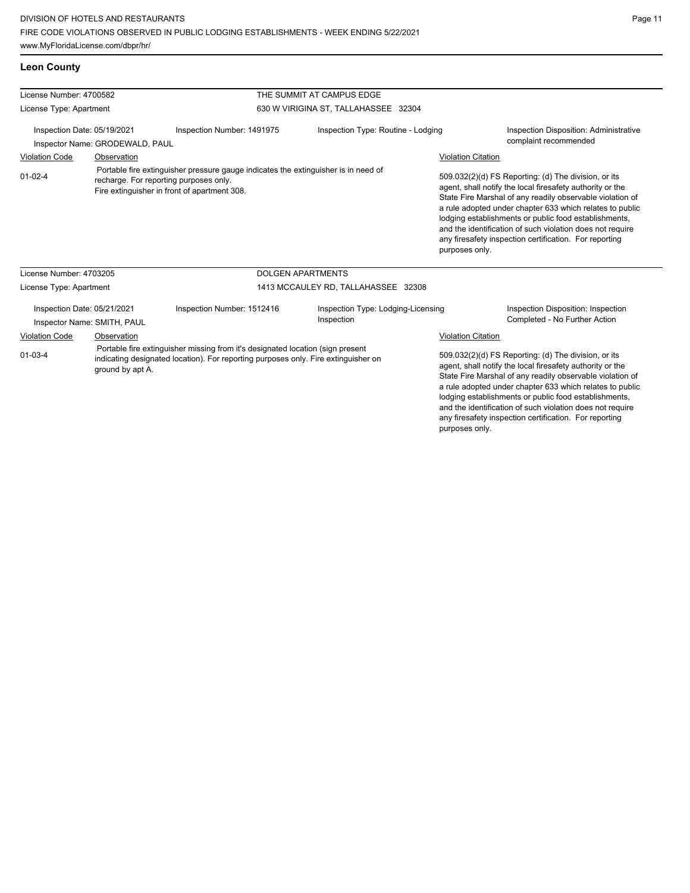## **Leon County**

| License Number: 4700582                                                                                                                                                                                   |                                                                                                                                                                              |                            | THE SUMMIT AT CAMPUS EDGE                        |                                                                                                                                                                                                                                                                                                                                                                                                                                              |                                                                     |  |  |
|-----------------------------------------------------------------------------------------------------------------------------------------------------------------------------------------------------------|------------------------------------------------------------------------------------------------------------------------------------------------------------------------------|----------------------------|--------------------------------------------------|----------------------------------------------------------------------------------------------------------------------------------------------------------------------------------------------------------------------------------------------------------------------------------------------------------------------------------------------------------------------------------------------------------------------------------------------|---------------------------------------------------------------------|--|--|
| License Type: Apartment                                                                                                                                                                                   |                                                                                                                                                                              |                            | 630 W VIRIGINA ST, TALLAHASSEE 32304             |                                                                                                                                                                                                                                                                                                                                                                                                                                              |                                                                     |  |  |
| Inspection Date: 05/19/2021<br>Inspector Name: GRODEWALD, PAUL                                                                                                                                            |                                                                                                                                                                              | Inspection Number: 1491975 | Inspection Type: Routine - Lodging               |                                                                                                                                                                                                                                                                                                                                                                                                                                              | Inspection Disposition: Administrative<br>complaint recommended     |  |  |
| <b>Violation Code</b>                                                                                                                                                                                     | Observation                                                                                                                                                                  |                            |                                                  | <b>Violation Citation</b>                                                                                                                                                                                                                                                                                                                                                                                                                    |                                                                     |  |  |
| $01 - 02 - 4$                                                                                                                                                                                             | Portable fire extinguisher pressure gauge indicates the extinguisher is in need of<br>recharge. For reporting purposes only.<br>Fire extinguisher in front of apartment 308. |                            |                                                  | 509.032(2)(d) FS Reporting: (d) The division, or its<br>agent, shall notify the local firesafety authority or the<br>State Fire Marshal of any readily observable violation of<br>a rule adopted under chapter 633 which relates to public<br>lodging establishments or public food establishments,<br>and the identification of such violation does not require<br>any firesafety inspection certification. For reporting<br>purposes only. |                                                                     |  |  |
| License Number: 4703205                                                                                                                                                                                   |                                                                                                                                                                              |                            | <b>DOLGEN APARTMENTS</b>                         |                                                                                                                                                                                                                                                                                                                                                                                                                                              |                                                                     |  |  |
| License Type: Apartment                                                                                                                                                                                   |                                                                                                                                                                              |                            | 1413 MCCAULEY RD, TALLAHASSEE 32308              |                                                                                                                                                                                                                                                                                                                                                                                                                                              |                                                                     |  |  |
| Inspection Date: 05/21/2021<br>Inspector Name: SMITH, PAUL                                                                                                                                                |                                                                                                                                                                              | Inspection Number: 1512416 | Inspection Type: Lodging-Licensing<br>Inspection |                                                                                                                                                                                                                                                                                                                                                                                                                                              | Inspection Disposition: Inspection<br>Completed - No Further Action |  |  |
| <b>Violation Code</b>                                                                                                                                                                                     | Observation                                                                                                                                                                  |                            |                                                  | <b>Violation Citation</b>                                                                                                                                                                                                                                                                                                                                                                                                                    |                                                                     |  |  |
| Portable fire extinguisher missing from it's designated location (sign present<br>$01 - 03 - 4$<br>indicating designated location). For reporting purposes only. Fire extinguisher on<br>ground by apt A. |                                                                                                                                                                              |                            |                                                  | 509.032(2)(d) FS Reporting: (d) The division, or its<br>agent, shall notify the local firesafety authority or the<br>State Fire Marshal of any readily observable violation of<br>a rule adopted under chapter 633 which relates to public<br>lodging establishments or public food establishments,<br>and the identification of such violation does not require<br>any firesafety inspection certification. For reporting                   |                                                                     |  |  |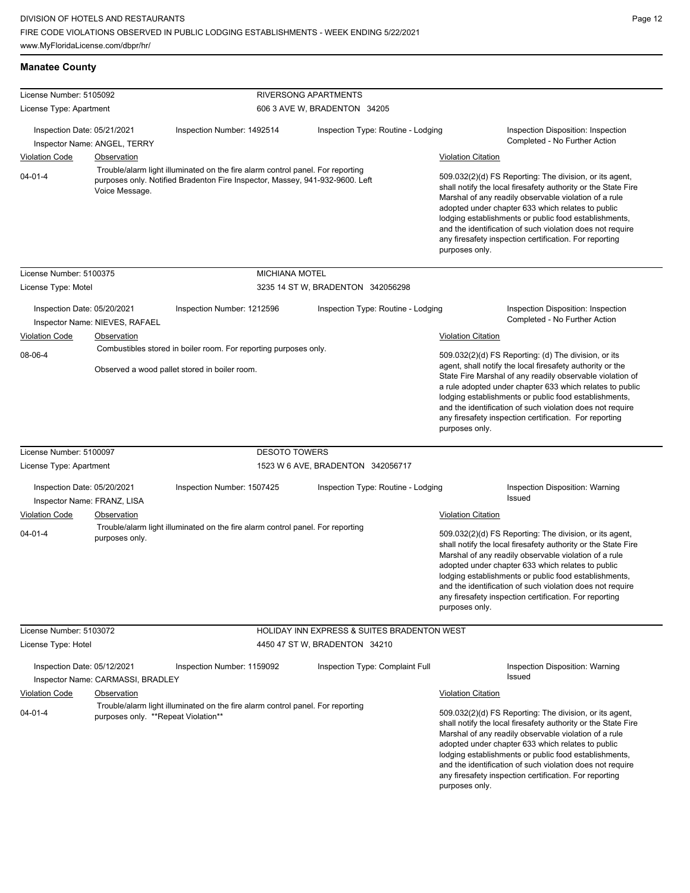# **Manatee County**

| License Number: 5105092                                    |                                     |                                                                                                                                                                | RIVERSONG APARTMENTS<br>606 3 AVE W, BRADENTON 34205 |                                                                                                                                                                                                                                                                                                                                                                                                                                              |
|------------------------------------------------------------|-------------------------------------|----------------------------------------------------------------------------------------------------------------------------------------------------------------|------------------------------------------------------|----------------------------------------------------------------------------------------------------------------------------------------------------------------------------------------------------------------------------------------------------------------------------------------------------------------------------------------------------------------------------------------------------------------------------------------------|
| License Type: Apartment                                    |                                     |                                                                                                                                                                |                                                      |                                                                                                                                                                                                                                                                                                                                                                                                                                              |
| Inspection Date: 05/21/2021                                | Inspector Name: ANGEL, TERRY        | Inspection Number: 1492514                                                                                                                                     | Inspection Type: Routine - Lodging                   | Inspection Disposition: Inspection<br>Completed - No Further Action                                                                                                                                                                                                                                                                                                                                                                          |
| <b>Violation Code</b>                                      | Observation                         |                                                                                                                                                                |                                                      | <b>Violation Citation</b>                                                                                                                                                                                                                                                                                                                                                                                                                    |
| $04 - 01 - 4$                                              | Voice Message.                      | Trouble/alarm light illuminated on the fire alarm control panel. For reporting<br>purposes only. Notified Bradenton Fire Inspector, Massey, 941-932-9600. Left |                                                      | 509.032(2)(d) FS Reporting: The division, or its agent,<br>shall notify the local firesafety authority or the State Fire<br>Marshal of any readily observable violation of a rule<br>adopted under chapter 633 which relates to public<br>lodging establishments or public food establishments,<br>and the identification of such violation does not require<br>any firesafety inspection certification. For reporting<br>purposes only.     |
| License Number: 5100375                                    |                                     | <b>MICHIANA MOTEL</b>                                                                                                                                          |                                                      |                                                                                                                                                                                                                                                                                                                                                                                                                                              |
| License Type: Motel                                        |                                     |                                                                                                                                                                | 3235 14 ST W, BRADENTON 342056298                    |                                                                                                                                                                                                                                                                                                                                                                                                                                              |
| Inspection Date: 05/20/2021                                | Inspector Name: NIEVES, RAFAEL      | Inspection Number: 1212596                                                                                                                                     | Inspection Type: Routine - Lodging                   | Inspection Disposition: Inspection<br>Completed - No Further Action                                                                                                                                                                                                                                                                                                                                                                          |
| <b>Violation Code</b>                                      | Observation                         |                                                                                                                                                                |                                                      | <b>Violation Citation</b>                                                                                                                                                                                                                                                                                                                                                                                                                    |
| 08-06-4                                                    |                                     | Combustibles stored in boiler room. For reporting purposes only.<br>Observed a wood pallet stored in boiler room.                                              |                                                      | 509.032(2)(d) FS Reporting: (d) The division, or its<br>agent, shall notify the local firesafety authority or the<br>State Fire Marshal of any readily observable violation of<br>a rule adopted under chapter 633 which relates to public<br>lodging establishments or public food establishments,<br>and the identification of such violation does not require<br>any firesafety inspection certification. For reporting<br>purposes only. |
| License Number: 5100097                                    |                                     | <b>DESOTO TOWERS</b>                                                                                                                                           |                                                      |                                                                                                                                                                                                                                                                                                                                                                                                                                              |
| License Type: Apartment                                    |                                     |                                                                                                                                                                | 1523 W 6 AVE, BRADENTON 342056717                    |                                                                                                                                                                                                                                                                                                                                                                                                                                              |
| Inspection Date: 05/20/2021<br>Inspector Name: FRANZ, LISA |                                     | Inspection Number: 1507425                                                                                                                                     | Inspection Type: Routine - Lodging                   | Inspection Disposition: Warning<br>Issued                                                                                                                                                                                                                                                                                                                                                                                                    |
| Violation Code                                             | Observation                         |                                                                                                                                                                |                                                      | <b>Violation Citation</b>                                                                                                                                                                                                                                                                                                                                                                                                                    |
| $04 - 01 - 4$                                              | purposes only.                      | Trouble/alarm light illuminated on the fire alarm control panel. For reporting                                                                                 |                                                      | 509.032(2)(d) FS Reporting: The division, or its agent,<br>shall notify the local firesafety authority or the State Fire<br>Marshal of any readily observable violation of a rule<br>adopted under chapter 633 which relates to public<br>lodging establishments or public food establishments,<br>and the identification of such violation does not require<br>any firesafety inspection certification. For reporting<br>purposes only.     |
| License Number: 5103072                                    |                                     |                                                                                                                                                                | HOLIDAY INN EXPRESS & SUITES BRADENTON WEST          |                                                                                                                                                                                                                                                                                                                                                                                                                                              |
| License Type: Hotel                                        |                                     |                                                                                                                                                                | 4450 47 ST W, BRADENTON 34210                        |                                                                                                                                                                                                                                                                                                                                                                                                                                              |
| Inspection Date: 05/12/2021                                | Inspector Name: CARMASSI, BRADLEY   | Inspection Number: 1159092                                                                                                                                     | Inspection Type: Complaint Full                      | Inspection Disposition: Warning<br>Issued                                                                                                                                                                                                                                                                                                                                                                                                    |
| <b>Violation Code</b>                                      | Observation                         |                                                                                                                                                                |                                                      | <b>Violation Citation</b>                                                                                                                                                                                                                                                                                                                                                                                                                    |
| $04 - 01 - 4$                                              | purposes only. **Repeat Violation** | Trouble/alarm light illuminated on the fire alarm control panel. For reporting                                                                                 |                                                      | 509.032(2)(d) FS Reporting: The division, or its agent,<br>shall notify the local firesafety authority or the State Fire<br>Marshal of any readily observable violation of a rule<br>adopted under chapter 633 which relates to public<br>lodging establishments or public food establishments,<br>and the identification of such violation does not require<br>any firesafety inspection certification. For reporting<br>purposes only.     |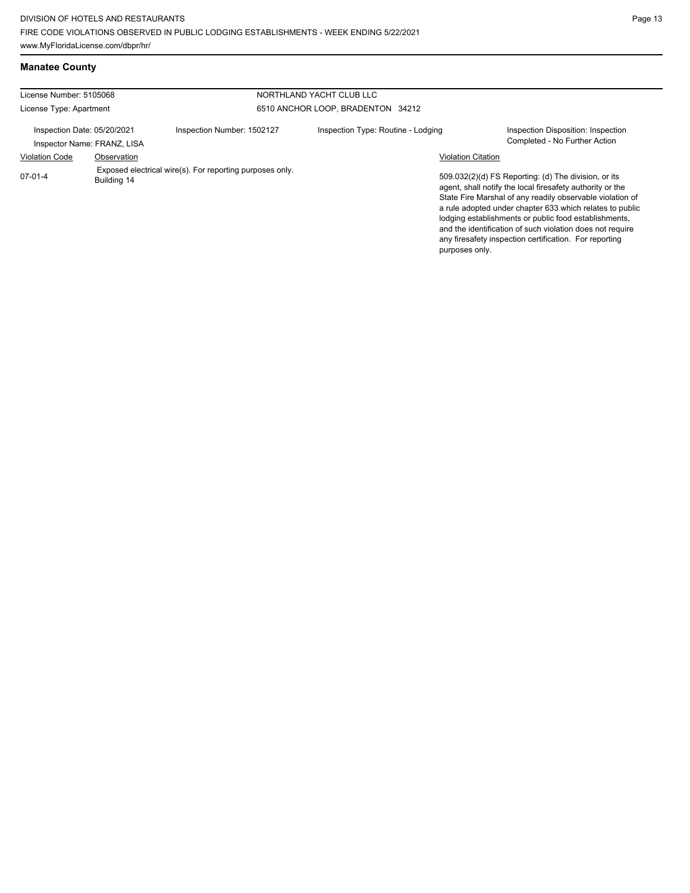**Manatee County**

| License Number: 5105068                                    |             |                                                          | NORTHLAND YACHT CLUB LLC           |                                                                                                                                                                                                                                                                                                                                                                                                                                              |
|------------------------------------------------------------|-------------|----------------------------------------------------------|------------------------------------|----------------------------------------------------------------------------------------------------------------------------------------------------------------------------------------------------------------------------------------------------------------------------------------------------------------------------------------------------------------------------------------------------------------------------------------------|
| License Type: Apartment                                    |             |                                                          | 6510 ANCHOR LOOP, BRADENTON 34212  |                                                                                                                                                                                                                                                                                                                                                                                                                                              |
| Inspection Date: 05/20/2021<br>Inspector Name: FRANZ, LISA |             | Inspection Number: 1502127                               | Inspection Type: Routine - Lodging | Inspection Disposition: Inspection<br>Completed - No Further Action                                                                                                                                                                                                                                                                                                                                                                          |
| <b>Violation Code</b>                                      | Observation |                                                          |                                    | <b>Violation Citation</b>                                                                                                                                                                                                                                                                                                                                                                                                                    |
| $07-01-4$                                                  | Building 14 | Exposed electrical wire(s). For reporting purposes only. |                                    | 509.032(2)(d) FS Reporting: (d) The division, or its<br>agent, shall notify the local firesafety authority or the<br>State Fire Marshal of any readily observable violation of<br>a rule adopted under chapter 633 which relates to public<br>lodging establishments or public food establishments,<br>and the identification of such violation does not require<br>any firesafety inspection certification. For reporting<br>purposes only. |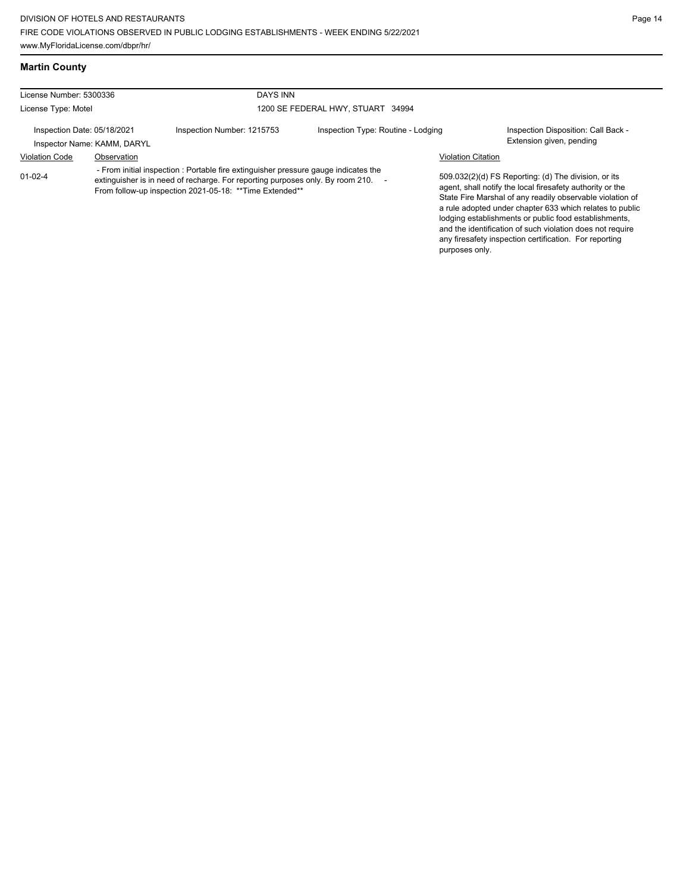**Martin County**

| License Number: 5300336 |                                                            | <b>DAYS INN</b>                                                                                                                                                                                                                   |                                    |                           |                                                                                                                                                                                                                                                                                                                                                                                                                            |
|-------------------------|------------------------------------------------------------|-----------------------------------------------------------------------------------------------------------------------------------------------------------------------------------------------------------------------------------|------------------------------------|---------------------------|----------------------------------------------------------------------------------------------------------------------------------------------------------------------------------------------------------------------------------------------------------------------------------------------------------------------------------------------------------------------------------------------------------------------------|
| License Type: Motel     |                                                            |                                                                                                                                                                                                                                   | 1200 SE FEDERAL HWY, STUART 34994  |                           |                                                                                                                                                                                                                                                                                                                                                                                                                            |
|                         | Inspection Date: 05/18/2021<br>Inspector Name: KAMM, DARYL | Inspection Number: 1215753                                                                                                                                                                                                        | Inspection Type: Routine - Lodging |                           | Inspection Disposition: Call Back -<br>Extension given, pending                                                                                                                                                                                                                                                                                                                                                            |
| <b>Violation Code</b>   | Observation                                                |                                                                                                                                                                                                                                   |                                    | <b>Violation Citation</b> |                                                                                                                                                                                                                                                                                                                                                                                                                            |
| $01 - 02 - 4$           |                                                            | - From initial inspection : Portable fire extinguisher pressure gauge indicates the<br>extinguisher is in need of recharge. For reporting purposes only. By room 210.<br>From follow-up inspection 2021-05-18: ** Time Extended** |                                    |                           | 509.032(2)(d) FS Reporting: (d) The division, or its<br>agent, shall notify the local firesafety authority or the<br>State Fire Marshal of any readily observable violation of<br>a rule adopted under chapter 633 which relates to public<br>lodging establishments or public food establishments,<br>and the identification of such violation does not require<br>any firesafety inspection certification. For reporting |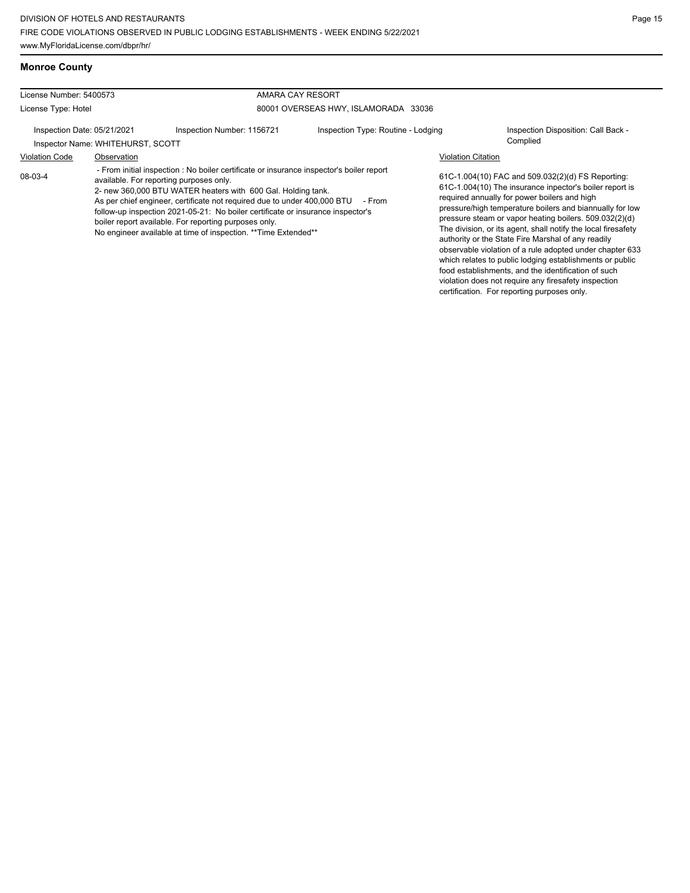violation does not require any firesafety inspection certification. For reporting purposes only.

## **Monroe County**

| License Number: 5400573                                          |             | AMARA CAY RESORT                                                                                                                                                                                                                                                                                                                                                                                                                                                                               |                                      |                                                                                                                                                                                                                                                                                                                                                                                                                                                                                                                                                                                          |  |
|------------------------------------------------------------------|-------------|------------------------------------------------------------------------------------------------------------------------------------------------------------------------------------------------------------------------------------------------------------------------------------------------------------------------------------------------------------------------------------------------------------------------------------------------------------------------------------------------|--------------------------------------|------------------------------------------------------------------------------------------------------------------------------------------------------------------------------------------------------------------------------------------------------------------------------------------------------------------------------------------------------------------------------------------------------------------------------------------------------------------------------------------------------------------------------------------------------------------------------------------|--|
| License Type: Hotel                                              |             |                                                                                                                                                                                                                                                                                                                                                                                                                                                                                                | 80001 OVERSEAS HWY, ISLAMORADA 33036 |                                                                                                                                                                                                                                                                                                                                                                                                                                                                                                                                                                                          |  |
| Inspection Date: 05/21/2021<br>Inspector Name: WHITEHURST, SCOTT |             | Inspection Number: 1156721                                                                                                                                                                                                                                                                                                                                                                                                                                                                     | Inspection Type: Routine - Lodging   | Inspection Disposition: Call Back -<br>Complied                                                                                                                                                                                                                                                                                                                                                                                                                                                                                                                                          |  |
| <b>Violation Code</b>                                            | Observation |                                                                                                                                                                                                                                                                                                                                                                                                                                                                                                |                                      | <b>Violation Citation</b>                                                                                                                                                                                                                                                                                                                                                                                                                                                                                                                                                                |  |
| 08-03-4                                                          |             | - From initial inspection : No boiler certificate or insurance inspector's boiler report<br>available. For reporting purposes only.<br>2- new 360,000 BTU WATER heaters with 600 Gal. Holding tank.<br>As per chief engineer, certificate not required due to under 400,000 BTU<br>follow-up inspection 2021-05-21: No boiler certificate or insurance inspector's<br>boiler report available. For reporting purposes only.<br>No engineer available at time of inspection. ** Time Extended** | - From                               | 61C-1.004(10) FAC and 509.032(2)(d) FS Reporting:<br>61C-1.004(10) The insurance inpector's boiler report is<br>required annually for power boilers and high<br>pressure/high temperature boilers and biannually for low<br>pressure steam or vapor heating boilers. 509.032(2)(d)<br>The division, or its agent, shall notify the local firesafety<br>authority or the State Fire Marshal of any readily<br>observable violation of a rule adopted under chapter 633<br>which relates to public lodging establishments or public<br>food establishments, and the identification of such |  |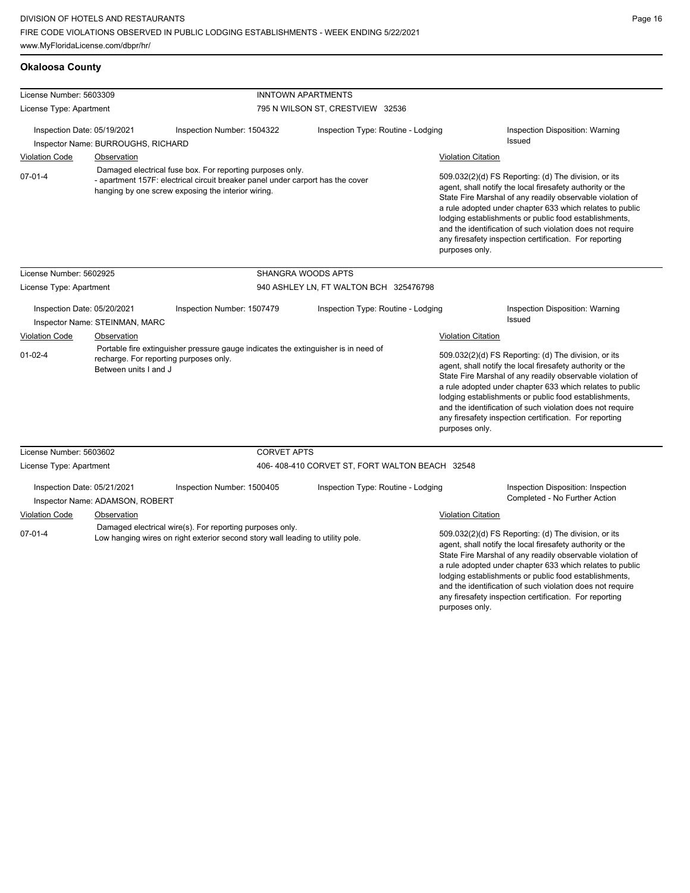**Okaloosa County**

any firesafety inspection certification. For reporting

| License Number: 5603309                                                                                                                                     |                                                                                                                                                                                                   |                                                                                                                              | <b>INNTOWN APARTMENTS</b>                      |                                                                                                                                                                                                                                                                                                                                                                                                                                              |                                                                                                                                                                                                                                                                                                                                                                                                                                              |  |
|-------------------------------------------------------------------------------------------------------------------------------------------------------------|---------------------------------------------------------------------------------------------------------------------------------------------------------------------------------------------------|------------------------------------------------------------------------------------------------------------------------------|------------------------------------------------|----------------------------------------------------------------------------------------------------------------------------------------------------------------------------------------------------------------------------------------------------------------------------------------------------------------------------------------------------------------------------------------------------------------------------------------------|----------------------------------------------------------------------------------------------------------------------------------------------------------------------------------------------------------------------------------------------------------------------------------------------------------------------------------------------------------------------------------------------------------------------------------------------|--|
| License Type: Apartment                                                                                                                                     |                                                                                                                                                                                                   |                                                                                                                              | 795 N WILSON ST, CRESTVIEW 32536               |                                                                                                                                                                                                                                                                                                                                                                                                                                              |                                                                                                                                                                                                                                                                                                                                                                                                                                              |  |
| Inspection Date: 05/19/2021                                                                                                                                 |                                                                                                                                                                                                   | Inspection Number: 1504322                                                                                                   | Inspection Type: Routine - Lodging             |                                                                                                                                                                                                                                                                                                                                                                                                                                              | Inspection Disposition: Warning                                                                                                                                                                                                                                                                                                                                                                                                              |  |
|                                                                                                                                                             | Inspector Name: BURROUGHS, RICHARD                                                                                                                                                                |                                                                                                                              |                                                |                                                                                                                                                                                                                                                                                                                                                                                                                                              | Issued                                                                                                                                                                                                                                                                                                                                                                                                                                       |  |
| <b>Violation Code</b>                                                                                                                                       | Observation                                                                                                                                                                                       |                                                                                                                              |                                                | <b>Violation Citation</b>                                                                                                                                                                                                                                                                                                                                                                                                                    |                                                                                                                                                                                                                                                                                                                                                                                                                                              |  |
| $07 - 01 - 4$                                                                                                                                               | Damaged electrical fuse box. For reporting purposes only.<br>- apartment 157F: electrical circuit breaker panel under carport has the cover<br>hanging by one screw exposing the interior wiring. |                                                                                                                              |                                                |                                                                                                                                                                                                                                                                                                                                                                                                                                              | 509.032(2)(d) FS Reporting: (d) The division, or its<br>agent, shall notify the local firesafety authority or the<br>State Fire Marshal of any readily observable violation of<br>a rule adopted under chapter 633 which relates to public<br>lodging establishments or public food establishments,<br>and the identification of such violation does not require<br>any firesafety inspection certification. For reporting<br>purposes only. |  |
| License Number: 5602925                                                                                                                                     |                                                                                                                                                                                                   |                                                                                                                              | <b>SHANGRA WOODS APTS</b>                      |                                                                                                                                                                                                                                                                                                                                                                                                                                              |                                                                                                                                                                                                                                                                                                                                                                                                                                              |  |
| License Type: Apartment                                                                                                                                     |                                                                                                                                                                                                   |                                                                                                                              | 940 ASHLEY LN, FT WALTON BCH 325476798         |                                                                                                                                                                                                                                                                                                                                                                                                                                              |                                                                                                                                                                                                                                                                                                                                                                                                                                              |  |
| Inspection Date: 05/20/2021<br>Inspector Name: STEINMAN, MARC                                                                                               |                                                                                                                                                                                                   | Inspection Number: 1507479                                                                                                   | Inspection Type: Routine - Lodging             |                                                                                                                                                                                                                                                                                                                                                                                                                                              | Inspection Disposition: Warning<br><b>Issued</b>                                                                                                                                                                                                                                                                                                                                                                                             |  |
| Violation Code                                                                                                                                              | Observation                                                                                                                                                                                       |                                                                                                                              |                                                |                                                                                                                                                                                                                                                                                                                                                                                                                                              | Violation Citation                                                                                                                                                                                                                                                                                                                                                                                                                           |  |
| $01 - 02 - 4$                                                                                                                                               | Between units I and J                                                                                                                                                                             | Portable fire extinguisher pressure gauge indicates the extinguisher is in need of<br>recharge. For reporting purposes only. |                                                | 509.032(2)(d) FS Reporting: (d) The division, or its<br>agent, shall notify the local firesafety authority or the<br>State Fire Marshal of any readily observable violation of<br>a rule adopted under chapter 633 which relates to public<br>lodging establishments or public food establishments,<br>and the identification of such violation does not require<br>any firesafety inspection certification. For reporting<br>purposes only. |                                                                                                                                                                                                                                                                                                                                                                                                                                              |  |
| License Number: 5603602                                                                                                                                     |                                                                                                                                                                                                   | <b>CORVET APTS</b>                                                                                                           |                                                |                                                                                                                                                                                                                                                                                                                                                                                                                                              |                                                                                                                                                                                                                                                                                                                                                                                                                                              |  |
| License Type: Apartment                                                                                                                                     |                                                                                                                                                                                                   |                                                                                                                              | 406-408-410 CORVET ST, FORT WALTON BEACH 32548 |                                                                                                                                                                                                                                                                                                                                                                                                                                              |                                                                                                                                                                                                                                                                                                                                                                                                                                              |  |
| Inspection Date: 05/21/2021                                                                                                                                 | Inspector Name: ADAMSON, ROBERT                                                                                                                                                                   | Inspection Number: 1500405                                                                                                   | Inspection Type: Routine - Lodging             |                                                                                                                                                                                                                                                                                                                                                                                                                                              | Inspection Disposition: Inspection<br>Completed - No Further Action                                                                                                                                                                                                                                                                                                                                                                          |  |
| <b>Violation Code</b>                                                                                                                                       | Observation                                                                                                                                                                                       |                                                                                                                              |                                                | <b>Violation Citation</b>                                                                                                                                                                                                                                                                                                                                                                                                                    |                                                                                                                                                                                                                                                                                                                                                                                                                                              |  |
| Damaged electrical wire(s). For reporting purposes only.<br>$07 - 01 - 4$<br>Low hanging wires on right exterior second story wall leading to utility pole. |                                                                                                                                                                                                   |                                                                                                                              |                                                |                                                                                                                                                                                                                                                                                                                                                                                                                                              | 509.032(2)(d) FS Reporting: (d) The division, or its<br>agent, shall notify the local firesafety authority or the<br>State Fire Marshal of any readily observable violation of<br>a rule adopted under chapter 633 which relates to public<br>lodging establishments or public food establishments,<br>and the identification of such violation does not require                                                                             |  |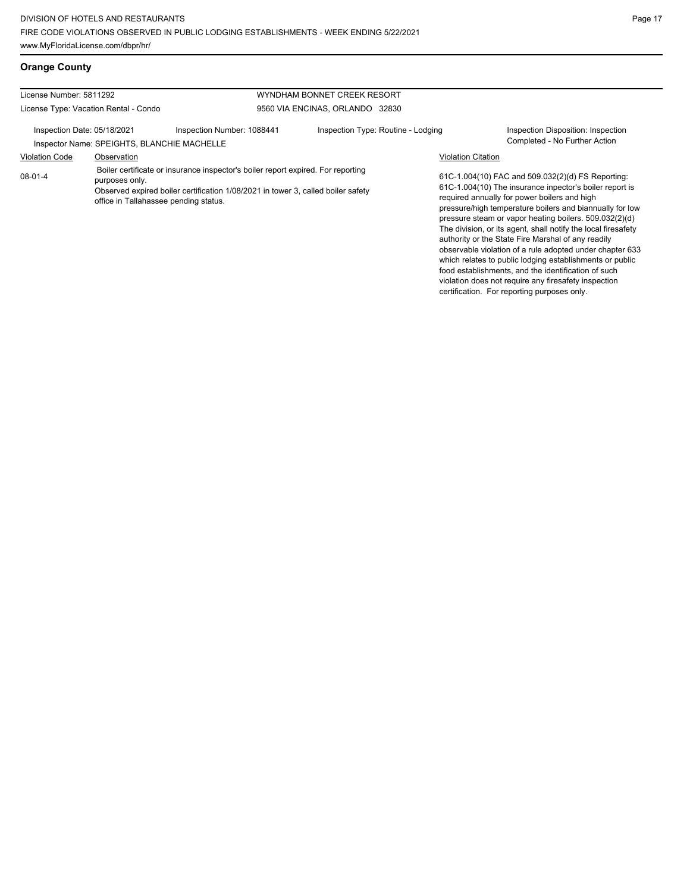violation does not require any firesafety inspection certification. For reporting purposes only.

## **Orange County**

| License Number: 5811292                                                    |                                       |                                                                                                                                                                                                               | WYNDHAM BONNET CREEK RESORT        |                           |                                                                                                                                                                                                                                                                                                                                                                                                                                                                                                                                                                                          |  |
|----------------------------------------------------------------------------|---------------------------------------|---------------------------------------------------------------------------------------------------------------------------------------------------------------------------------------------------------------|------------------------------------|---------------------------|------------------------------------------------------------------------------------------------------------------------------------------------------------------------------------------------------------------------------------------------------------------------------------------------------------------------------------------------------------------------------------------------------------------------------------------------------------------------------------------------------------------------------------------------------------------------------------------|--|
|                                                                            | License Type: Vacation Rental - Condo |                                                                                                                                                                                                               | 9560 VIA ENCINAS, ORLANDO 32830    |                           |                                                                                                                                                                                                                                                                                                                                                                                                                                                                                                                                                                                          |  |
| Inspection Date: 05/18/2021<br>Inspector Name: SPEIGHTS, BLANCHIE MACHELLE |                                       | Inspection Number: 1088441                                                                                                                                                                                    | Inspection Type: Routine - Lodging |                           | Inspection Disposition: Inspection<br>Completed - No Further Action                                                                                                                                                                                                                                                                                                                                                                                                                                                                                                                      |  |
| <b>Violation Code</b>                                                      | Observation                           |                                                                                                                                                                                                               |                                    | <b>Violation Citation</b> |                                                                                                                                                                                                                                                                                                                                                                                                                                                                                                                                                                                          |  |
| 08-01-4                                                                    | purposes only.                        | Boiler certificate or insurance inspector's boiler report expired. For reporting<br>Observed expired boiler certification 1/08/2021 in tower 3, called boiler safety<br>office in Tallahassee pending status. |                                    |                           | 61C-1.004(10) FAC and 509.032(2)(d) FS Reporting:<br>61C-1.004(10) The insurance inpector's boiler report is<br>required annually for power boilers and high<br>pressure/high temperature boilers and biannually for low<br>pressure steam or vapor heating boilers. 509.032(2)(d)<br>The division, or its agent, shall notify the local firesafety<br>authority or the State Fire Marshal of any readily<br>observable violation of a rule adopted under chapter 633<br>which relates to public lodging establishments or public<br>food establishments, and the identification of such |  |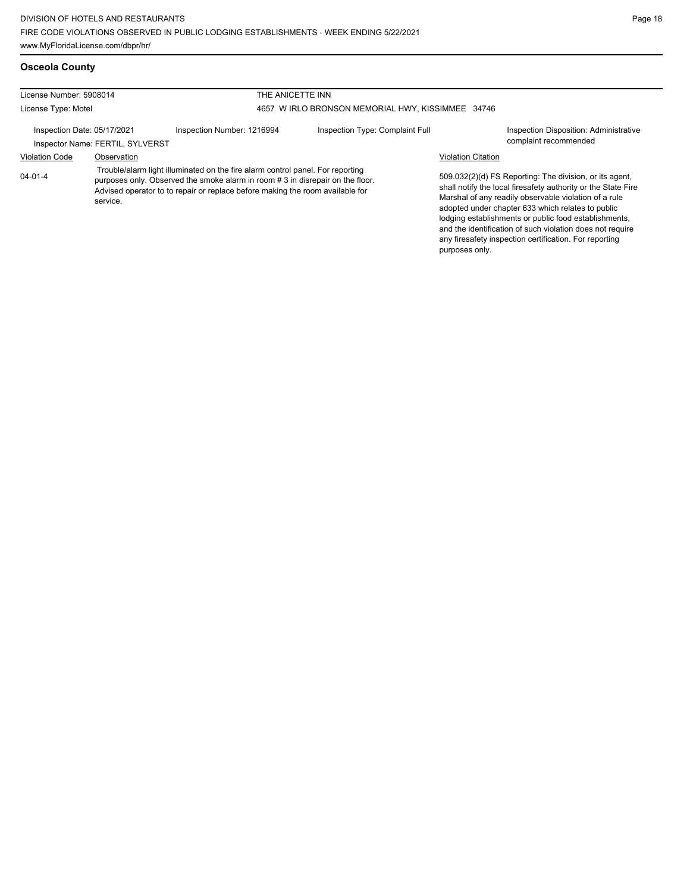## **Osceola County**

| License Number: 5908014<br>THE ANICETTE INN |                                  |                                                                                                                                                                                                                                                  |                                 |                           |                                                                                                                                                                                                                                                                                                                                                                                                                        |
|---------------------------------------------|----------------------------------|--------------------------------------------------------------------------------------------------------------------------------------------------------------------------------------------------------------------------------------------------|---------------------------------|---------------------------|------------------------------------------------------------------------------------------------------------------------------------------------------------------------------------------------------------------------------------------------------------------------------------------------------------------------------------------------------------------------------------------------------------------------|
| License Type: Motel                         |                                  | 4657 W IRLO BRONSON MEMORIAL HWY, KISSIMMEE 34746                                                                                                                                                                                                |                                 |                           |                                                                                                                                                                                                                                                                                                                                                                                                                        |
| Inspection Date: 05/17/2021                 | Inspector Name: FERTIL, SYLVERST | Inspection Number: 1216994                                                                                                                                                                                                                       | Inspection Type: Complaint Full |                           | Inspection Disposition: Administrative<br>complaint recommended                                                                                                                                                                                                                                                                                                                                                        |
| <b>Violation Code</b>                       | Observation                      |                                                                                                                                                                                                                                                  |                                 | <b>Violation Citation</b> |                                                                                                                                                                                                                                                                                                                                                                                                                        |
| $04 - 01 - 4$                               | service.                         | Trouble/alarm light illuminated on the fire alarm control panel. For reporting<br>purposes only. Observed the smoke alarm in room #3 in disrepair on the floor.<br>Advised operator to to repair or replace before making the room available for |                                 | purposes only.            | 509.032(2)(d) FS Reporting: The division, or its agent,<br>shall notify the local firesafety authority or the State Fire<br>Marshal of any readily observable violation of a rule<br>adopted under chapter 633 which relates to public<br>lodging establishments or public food establishments,<br>and the identification of such violation does not require<br>any firesafety inspection certification. For reporting |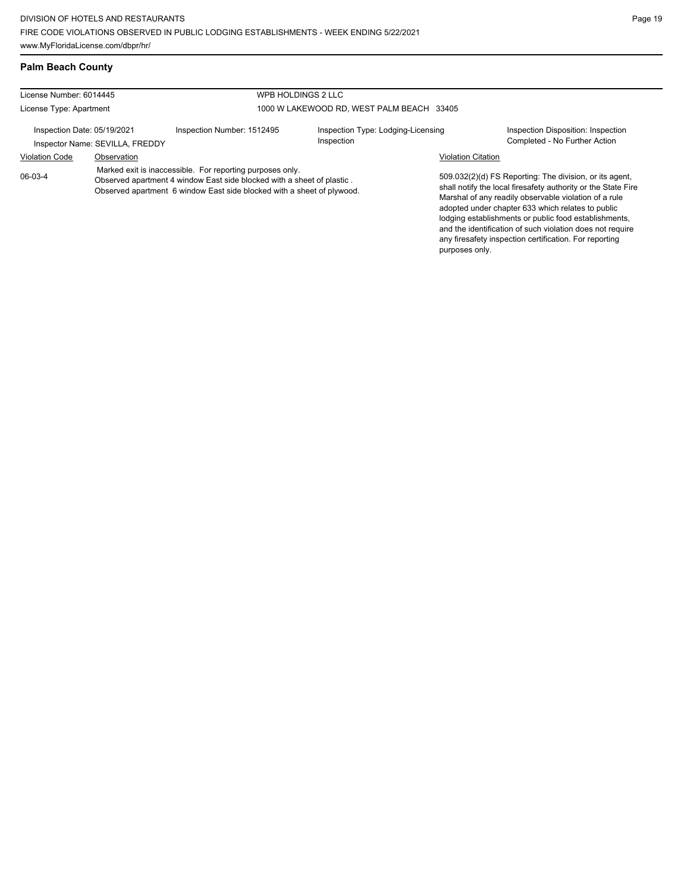## **Palm Beach County**

| License Number: 6014445                                        |                                                                                                                                                                                                               |                            | WPB HOLDINGS 2 LLC                               |                           |                                                                                                                                                                                                                                                                                                                                                                                                                        |
|----------------------------------------------------------------|---------------------------------------------------------------------------------------------------------------------------------------------------------------------------------------------------------------|----------------------------|--------------------------------------------------|---------------------------|------------------------------------------------------------------------------------------------------------------------------------------------------------------------------------------------------------------------------------------------------------------------------------------------------------------------------------------------------------------------------------------------------------------------|
| License Type: Apartment                                        |                                                                                                                                                                                                               |                            | 1000 W LAKEWOOD RD. WEST PALM BEACH 33405        |                           |                                                                                                                                                                                                                                                                                                                                                                                                                        |
| Inspection Date: 05/19/2021<br>Inspector Name: SEVILLA, FREDDY |                                                                                                                                                                                                               | Inspection Number: 1512495 | Inspection Type: Lodging-Licensing<br>Inspection |                           | Inspection Disposition: Inspection<br>Completed - No Further Action                                                                                                                                                                                                                                                                                                                                                    |
| <b>Violation Code</b>                                          | Observation                                                                                                                                                                                                   |                            |                                                  | <b>Violation Citation</b> |                                                                                                                                                                                                                                                                                                                                                                                                                        |
| 06-03-4                                                        | Marked exit is inaccessible. For reporting purposes only.<br>Observed apartment 4 window East side blocked with a sheet of plastic.<br>Observed apartment 6 window East side blocked with a sheet of plywood. |                            |                                                  | purposes only.            | 509.032(2)(d) FS Reporting: The division, or its agent,<br>shall notify the local firesafety authority or the State Fire<br>Marshal of any readily observable violation of a rule<br>adopted under chapter 633 which relates to public<br>lodging establishments or public food establishments,<br>and the identification of such violation does not require<br>any firesafety inspection certification. For reporting |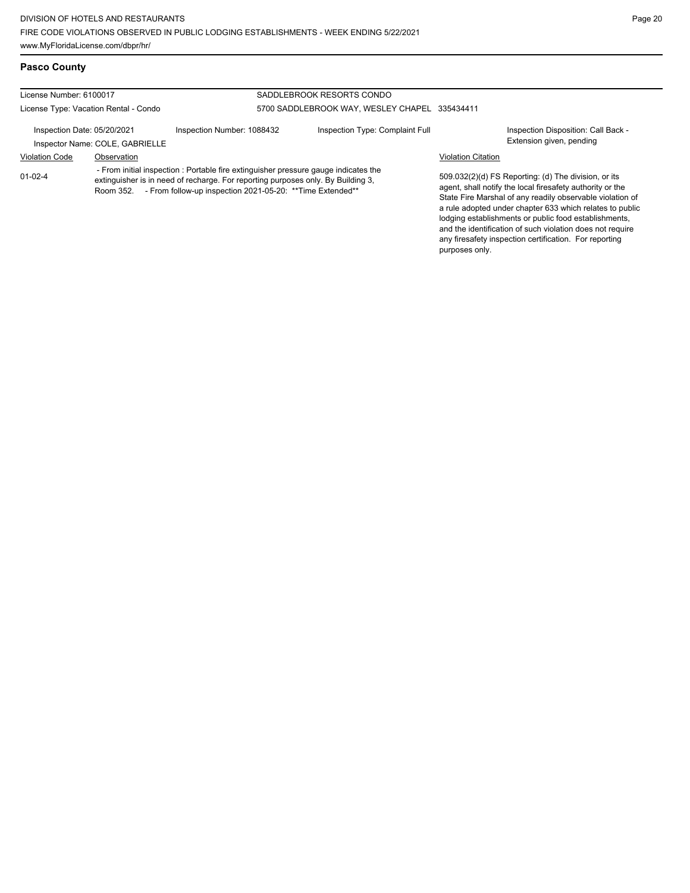#### **Pasco County**

#### License Number: 6100017 License Type: Vacation Rental - Condo SADDLEBROOK RESORTS CONDO 5700 SADDLEBROOK WAY, WESLEY CHAPEL 335434411 Inspection Date: 05/20/2021 Inspection Number: 1088432 Inspection Type: Complaint Full Inspection Disposition: Call Back -<br>Inspector Name: COLE. GABRIELLE Inspector Name: COLE, GABRIELLE Violation Code Observation Violation Citation 509.032(2)(d) FS Reporting: (d) The division, or its agent, shall notify the local firesafety authority or the State Fire Marshal of any readily observable violation of a rule adopted under chapter 633 which relates to public lodging establishments or public food establishments, and the identification of such violation does not require any firesafety inspection certification. For reporting 01-02-4 - From initial inspection : Portable fire extinguisher pressure gauge indicates the extinguisher is in need of recharge. For reporting purposes only. By Building 3, Room 352. - From follow-up inspection 2021-05-20: \*\* Time Extended\*\*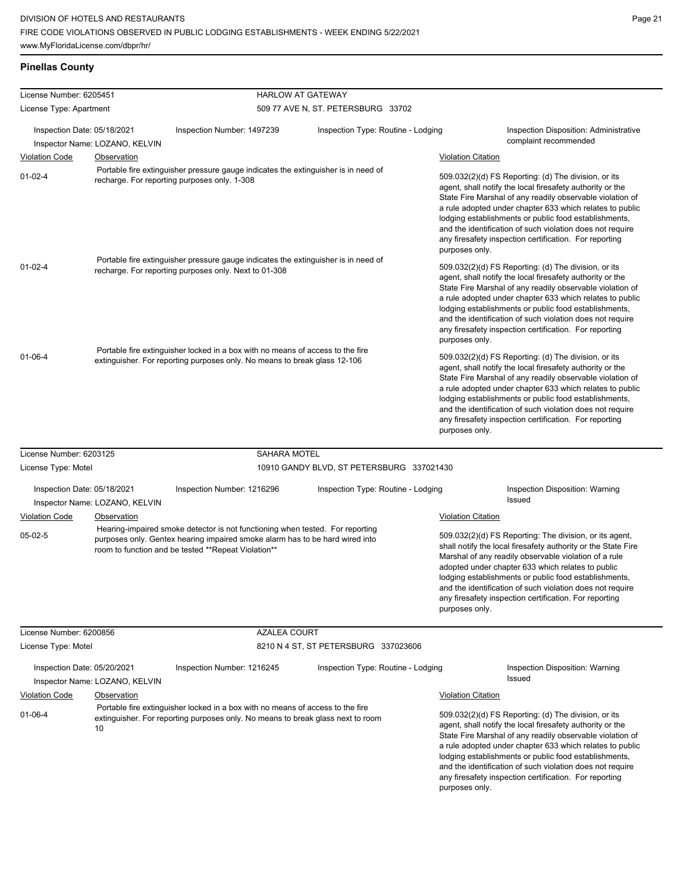## **Pinellas County**

| License Number: 6205451     |                                |                                                                                                                                                                                                                                                                                   | <b>HARLOW AT GATEWAY</b>                                                                                                                                      |                                                                                                                                                                                                                                                                                                                                                                                                                                                                                                                                                                                                                                                                                                                                                                                                                                                                                              |                                                                                                                                                                                                                                                                                                                                                                                                                                          |  |
|-----------------------------|--------------------------------|-----------------------------------------------------------------------------------------------------------------------------------------------------------------------------------------------------------------------------------------------------------------------------------|---------------------------------------------------------------------------------------------------------------------------------------------------------------|----------------------------------------------------------------------------------------------------------------------------------------------------------------------------------------------------------------------------------------------------------------------------------------------------------------------------------------------------------------------------------------------------------------------------------------------------------------------------------------------------------------------------------------------------------------------------------------------------------------------------------------------------------------------------------------------------------------------------------------------------------------------------------------------------------------------------------------------------------------------------------------------|------------------------------------------------------------------------------------------------------------------------------------------------------------------------------------------------------------------------------------------------------------------------------------------------------------------------------------------------------------------------------------------------------------------------------------------|--|
| License Type: Apartment     |                                |                                                                                                                                                                                                                                                                                   | 509 77 AVE N, ST. PETERSBURG 33702                                                                                                                            |                                                                                                                                                                                                                                                                                                                                                                                                                                                                                                                                                                                                                                                                                                                                                                                                                                                                                              |                                                                                                                                                                                                                                                                                                                                                                                                                                          |  |
| Inspection Date: 05/18/2021 | Inspector Name: LOZANO, KELVIN | Inspection Number: 1497239<br>Inspection Type: Routine - Lodging                                                                                                                                                                                                                  |                                                                                                                                                               |                                                                                                                                                                                                                                                                                                                                                                                                                                                                                                                                                                                                                                                                                                                                                                                                                                                                                              | <b>Inspection Disposition: Administrative</b><br>complaint recommended                                                                                                                                                                                                                                                                                                                                                                   |  |
| <b>Violation Code</b>       | Observation                    |                                                                                                                                                                                                                                                                                   |                                                                                                                                                               | <b>Violation Citation</b>                                                                                                                                                                                                                                                                                                                                                                                                                                                                                                                                                                                                                                                                                                                                                                                                                                                                    |                                                                                                                                                                                                                                                                                                                                                                                                                                          |  |
| $01 - 02 - 4$               |                                | Portable fire extinguisher pressure gauge indicates the extinguisher is in need of<br>recharge. For reporting purposes only. 1-308<br>Portable fire extinguisher pressure gauge indicates the extinguisher is in need of<br>recharge. For reporting purposes only. Next to 01-308 |                                                                                                                                                               | 509.032(2)(d) FS Reporting: (d) The division, or its<br>agent, shall notify the local firesafety authority or the<br>State Fire Marshal of any readily observable violation of<br>a rule adopted under chapter 633 which relates to public<br>lodging establishments or public food establishments,<br>and the identification of such violation does not require<br>any firesafety inspection certification. For reporting<br>purposes only.<br>509.032(2)(d) FS Reporting: (d) The division, or its<br>agent, shall notify the local firesafety authority or the<br>State Fire Marshal of any readily observable violation of<br>a rule adopted under chapter 633 which relates to public<br>lodging establishments or public food establishments,<br>and the identification of such violation does not require<br>any firesafety inspection certification. For reporting<br>purposes only. |                                                                                                                                                                                                                                                                                                                                                                                                                                          |  |
| $01 - 02 - 4$               |                                |                                                                                                                                                                                                                                                                                   |                                                                                                                                                               |                                                                                                                                                                                                                                                                                                                                                                                                                                                                                                                                                                                                                                                                                                                                                                                                                                                                                              |                                                                                                                                                                                                                                                                                                                                                                                                                                          |  |
| $01 - 06 - 4$               |                                | Portable fire extinguisher locked in a box with no means of access to the fire<br>extinguisher. For reporting purposes only. No means to break glass 12-106                                                                                                                       |                                                                                                                                                               | 509.032(2)(d) FS Reporting: (d) The division, or its<br>agent, shall notify the local firesafety authority or the<br>State Fire Marshal of any readily observable violation of<br>a rule adopted under chapter 633 which relates to public<br>lodging establishments or public food establishments,<br>and the identification of such violation does not require<br>any firesafety inspection certification. For reporting<br>purposes only.                                                                                                                                                                                                                                                                                                                                                                                                                                                 |                                                                                                                                                                                                                                                                                                                                                                                                                                          |  |
| License Number: 6203125     |                                | <b>SAHARA MOTEL</b>                                                                                                                                                                                                                                                               |                                                                                                                                                               |                                                                                                                                                                                                                                                                                                                                                                                                                                                                                                                                                                                                                                                                                                                                                                                                                                                                                              |                                                                                                                                                                                                                                                                                                                                                                                                                                          |  |
| License Type: Motel         |                                |                                                                                                                                                                                                                                                                                   | 10910 GANDY BLVD, ST PETERSBURG 337021430                                                                                                                     |                                                                                                                                                                                                                                                                                                                                                                                                                                                                                                                                                                                                                                                                                                                                                                                                                                                                                              |                                                                                                                                                                                                                                                                                                                                                                                                                                          |  |
| Inspection Date: 05/18/2021 | Inspector Name: LOZANO, KELVIN | Inspection Number: 1216296                                                                                                                                                                                                                                                        | Inspection Type: Routine - Lodging                                                                                                                            |                                                                                                                                                                                                                                                                                                                                                                                                                                                                                                                                                                                                                                                                                                                                                                                                                                                                                              | <b>Inspection Disposition: Warning</b><br><b>Issued</b>                                                                                                                                                                                                                                                                                                                                                                                  |  |
| Violation Code              | Observation                    |                                                                                                                                                                                                                                                                                   |                                                                                                                                                               |                                                                                                                                                                                                                                                                                                                                                                                                                                                                                                                                                                                                                                                                                                                                                                                                                                                                                              | <b>Violation Citation</b>                                                                                                                                                                                                                                                                                                                                                                                                                |  |
| $05-02-5$                   |                                | room to function and be tested **Repeat Violation**                                                                                                                                                                                                                               | Hearing-impaired smoke detector is not functioning when tested. For reporting<br>purposes only. Gentex hearing impaired smoke alarm has to be hard wired into |                                                                                                                                                                                                                                                                                                                                                                                                                                                                                                                                                                                                                                                                                                                                                                                                                                                                                              | 509.032(2)(d) FS Reporting: The division, or its agent,<br>shall notify the local firesafety authority or the State Fire<br>Marshal of any readily observable violation of a rule<br>adopted under chapter 633 which relates to public<br>lodging establishments or public food establishments,<br>and the identification of such violation does not require<br>any firesafety inspection certification. For reporting<br>purposes only. |  |
| License Number: 6200856     |                                | <b>AZALEA COURT</b>                                                                                                                                                                                                                                                               |                                                                                                                                                               |                                                                                                                                                                                                                                                                                                                                                                                                                                                                                                                                                                                                                                                                                                                                                                                                                                                                                              |                                                                                                                                                                                                                                                                                                                                                                                                                                          |  |
| License Type: Motel         |                                |                                                                                                                                                                                                                                                                                   | 8210 N 4 ST, ST PETERSBURG 337023606                                                                                                                          |                                                                                                                                                                                                                                                                                                                                                                                                                                                                                                                                                                                                                                                                                                                                                                                                                                                                                              |                                                                                                                                                                                                                                                                                                                                                                                                                                          |  |
| Inspection Date: 05/20/2021 | Inspector Name: LOZANO, KELVIN | Inspection Number: 1216245                                                                                                                                                                                                                                                        | Inspection Type: Routine - Lodging                                                                                                                            |                                                                                                                                                                                                                                                                                                                                                                                                                                                                                                                                                                                                                                                                                                                                                                                                                                                                                              | Inspection Disposition: Warning<br>Issued                                                                                                                                                                                                                                                                                                                                                                                                |  |
| <b>Violation Code</b>       | Observation                    |                                                                                                                                                                                                                                                                                   |                                                                                                                                                               | <b>Violation Citation</b>                                                                                                                                                                                                                                                                                                                                                                                                                                                                                                                                                                                                                                                                                                                                                                                                                                                                    |                                                                                                                                                                                                                                                                                                                                                                                                                                          |  |
| $01 - 06 - 4$<br>10         |                                | Portable fire extinguisher locked in a box with no means of access to the fire<br>extinguisher. For reporting purposes only. No means to break glass next to room                                                                                                                 |                                                                                                                                                               | 509.032(2)(d) FS Reporting: (d) The division, or its<br>agent, shall notify the local firesafety authority or the<br>State Fire Marshal of any readily observable violation of<br>a rule adopted under chapter 633 which relates to public<br>lodging establishments or public food establishments,<br>and the identification of such violation does not require                                                                                                                                                                                                                                                                                                                                                                                                                                                                                                                             |                                                                                                                                                                                                                                                                                                                                                                                                                                          |  |

any firesafety inspection certification. For reporting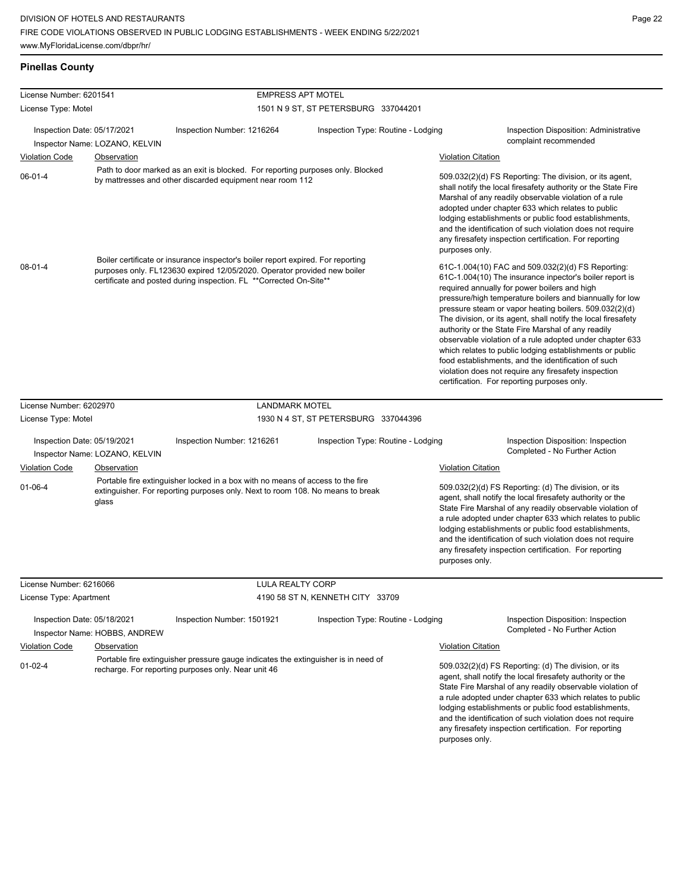|  | <b>Pinellas County</b> |
|--|------------------------|
|  |                        |

| License Number: 6201541 |                                                               |                                                                                                                                                                                                                                    | <b>EMPRESS APT MOTEL</b>             |                                                                                                                                                                                                                                                                                                                                                                                                                                                                                                                                                                                                                                                                                                 |                                                                     |
|-------------------------|---------------------------------------------------------------|------------------------------------------------------------------------------------------------------------------------------------------------------------------------------------------------------------------------------------|--------------------------------------|-------------------------------------------------------------------------------------------------------------------------------------------------------------------------------------------------------------------------------------------------------------------------------------------------------------------------------------------------------------------------------------------------------------------------------------------------------------------------------------------------------------------------------------------------------------------------------------------------------------------------------------------------------------------------------------------------|---------------------------------------------------------------------|
| License Type: Motel     |                                                               |                                                                                                                                                                                                                                    | 1501 N 9 ST, ST PETERSBURG 337044201 |                                                                                                                                                                                                                                                                                                                                                                                                                                                                                                                                                                                                                                                                                                 |                                                                     |
|                         | Inspection Date: 05/17/2021                                   | Inspection Number: 1216264                                                                                                                                                                                                         | Inspection Type: Routine - Lodging   | complaint recommended                                                                                                                                                                                                                                                                                                                                                                                                                                                                                                                                                                                                                                                                           | Inspection Disposition: Administrative                              |
| <b>Violation Code</b>   | Inspector Name: LOZANO, KELVIN<br><b>Observation</b>          |                                                                                                                                                                                                                                    |                                      | <b>Violation Citation</b>                                                                                                                                                                                                                                                                                                                                                                                                                                                                                                                                                                                                                                                                       |                                                                     |
| $06 - 01 - 4$           |                                                               | Path to door marked as an exit is blocked. For reporting purposes only. Blocked<br>by mattresses and other discarded equipment near room 112                                                                                       |                                      | 509.032(2)(d) FS Reporting: The division, or its agent,<br>shall notify the local firesafety authority or the State Fire<br>Marshal of any readily observable violation of a rule<br>adopted under chapter 633 which relates to public<br>lodging establishments or public food establishments,<br>and the identification of such violation does not require<br>any firesafety inspection certification. For reporting<br>purposes only.                                                                                                                                                                                                                                                        |                                                                     |
| $08-01-4$               |                                                               | Boiler certificate or insurance inspector's boiler report expired. For reporting<br>purposes only. FL123630 expired 12/05/2020. Operator provided new boiler<br>certificate and posted during inspection. FL **Corrected On-Site** |                                      | 61C-1.004(10) FAC and 509.032(2)(d) FS Reporting:<br>61C-1.004(10) The insurance inpector's boiler report is<br>required annually for power boilers and high<br>pressure/high temperature boilers and biannually for low<br>pressure steam or vapor heating boilers. 509.032(2)(d)<br>The division, or its agent, shall notify the local firesafety<br>authority or the State Fire Marshal of any readily<br>observable violation of a rule adopted under chapter 633<br>which relates to public lodging establishments or public<br>food establishments, and the identification of such<br>violation does not require any firesafety inspection<br>certification. For reporting purposes only. |                                                                     |
| License Number: 6202970 |                                                               | <b>LANDMARK MOTEL</b>                                                                                                                                                                                                              |                                      |                                                                                                                                                                                                                                                                                                                                                                                                                                                                                                                                                                                                                                                                                                 |                                                                     |
| License Type: Motel     |                                                               |                                                                                                                                                                                                                                    | 1930 N 4 ST, ST PETERSBURG 337044396 |                                                                                                                                                                                                                                                                                                                                                                                                                                                                                                                                                                                                                                                                                                 |                                                                     |
|                         | Inspection Date: 05/19/2021<br>Inspector Name: LOZANO, KELVIN | Inspection Number: 1216261                                                                                                                                                                                                         | Inspection Type: Routine - Lodging   |                                                                                                                                                                                                                                                                                                                                                                                                                                                                                                                                                                                                                                                                                                 | Inspection Disposition: Inspection<br>Completed - No Further Action |
| <b>Violation Code</b>   | Observation                                                   |                                                                                                                                                                                                                                    |                                      | <b>Violation Citation</b>                                                                                                                                                                                                                                                                                                                                                                                                                                                                                                                                                                                                                                                                       |                                                                     |
| $01 - 06 - 4$           | glass                                                         | Portable fire extinguisher locked in a box with no means of access to the fire<br>extinguisher. For reporting purposes only. Next to room 108. No means to break                                                                   |                                      | 509.032(2)(d) FS Reporting: (d) The division, or its<br>agent, shall notify the local firesafety authority or the<br>State Fire Marshal of any readily observable violation of<br>a rule adopted under chapter 633 which relates to public<br>lodging establishments or public food establishments,<br>and the identification of such violation does not require<br>any firesafety inspection certification. For reporting<br>purposes only.                                                                                                                                                                                                                                                    |                                                                     |
| License Number: 6216066 |                                                               | <b>LULA REALTY CORP</b>                                                                                                                                                                                                            |                                      |                                                                                                                                                                                                                                                                                                                                                                                                                                                                                                                                                                                                                                                                                                 |                                                                     |
| License Type: Apartment |                                                               |                                                                                                                                                                                                                                    | 4190 58 ST N, KENNETH CITY 33709     |                                                                                                                                                                                                                                                                                                                                                                                                                                                                                                                                                                                                                                                                                                 |                                                                     |
|                         | Inspection Date: 05/18/2021<br>Inspector Name: HOBBS, ANDREW  | Inspection Number: 1501921                                                                                                                                                                                                         | Inspection Type: Routine - Lodging   |                                                                                                                                                                                                                                                                                                                                                                                                                                                                                                                                                                                                                                                                                                 | Inspection Disposition: Inspection<br>Completed - No Further Action |
| <b>Violation Code</b>   | Observation                                                   |                                                                                                                                                                                                                                    |                                      | <b>Violation Citation</b>                                                                                                                                                                                                                                                                                                                                                                                                                                                                                                                                                                                                                                                                       |                                                                     |
| $01-02-4$               |                                                               | Portable fire extinguisher pressure gauge indicates the extinguisher is in need of<br>recharge. For reporting purposes only. Near unit 46                                                                                          |                                      | 509.032(2)(d) FS Reporting: (d) The division, or its<br>agent, shall notify the local firesafety authority or the<br>State Fire Marshal of any readily observable violation of<br>a rule adopted under chapter 633 which relates to public<br>lodging establishments or public food establishments,<br>and the identification of such violation does not require<br>any firesafety inspection certification. For reporting<br>purposes only.                                                                                                                                                                                                                                                    |                                                                     |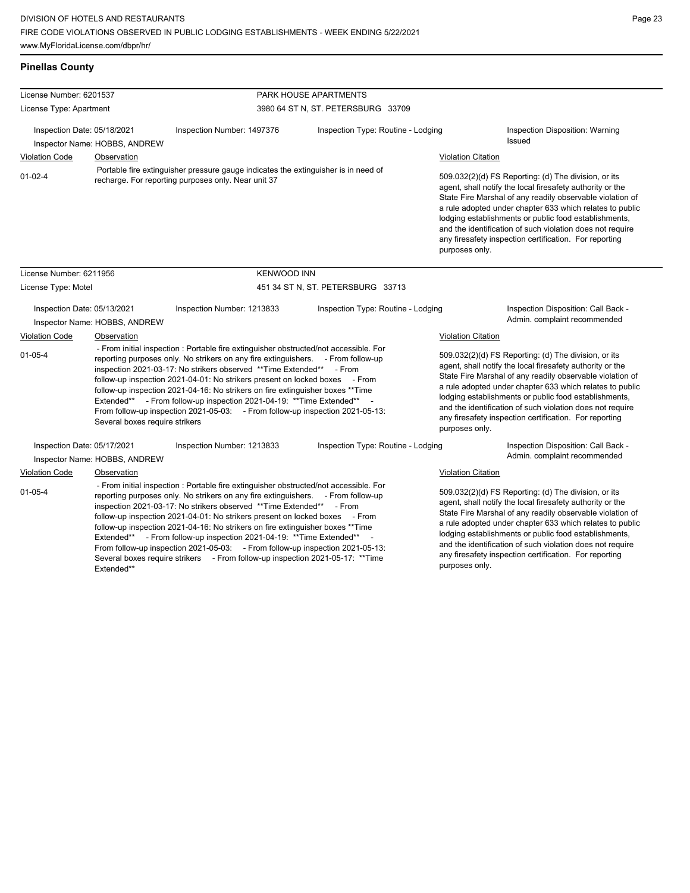## **Pinellas County**

Extended\*\*

| License Number: 6201537     |                                                                                                                                                                                                                                                                                                                                                                                                                                                                                                                                                                                                                                                                                       |                                                                                                                                                                                                                                                                                                                                                                                                                                                                                                                                                                               | PARK HOUSE APARTMENTS                                                              |                           |                                                                                                                                                                                                                                                                                                                                                                                                                            |
|-----------------------------|---------------------------------------------------------------------------------------------------------------------------------------------------------------------------------------------------------------------------------------------------------------------------------------------------------------------------------------------------------------------------------------------------------------------------------------------------------------------------------------------------------------------------------------------------------------------------------------------------------------------------------------------------------------------------------------|-------------------------------------------------------------------------------------------------------------------------------------------------------------------------------------------------------------------------------------------------------------------------------------------------------------------------------------------------------------------------------------------------------------------------------------------------------------------------------------------------------------------------------------------------------------------------------|------------------------------------------------------------------------------------|---------------------------|----------------------------------------------------------------------------------------------------------------------------------------------------------------------------------------------------------------------------------------------------------------------------------------------------------------------------------------------------------------------------------------------------------------------------|
| License Type: Apartment     |                                                                                                                                                                                                                                                                                                                                                                                                                                                                                                                                                                                                                                                                                       | 3980 64 ST N, ST. PETERSBURG 33709                                                                                                                                                                                                                                                                                                                                                                                                                                                                                                                                            |                                                                                    |                           |                                                                                                                                                                                                                                                                                                                                                                                                                            |
| Inspection Date: 05/18/2021 | Inspector Name: HOBBS, ANDREW                                                                                                                                                                                                                                                                                                                                                                                                                                                                                                                                                                                                                                                         | Inspection Number: 1497376                                                                                                                                                                                                                                                                                                                                                                                                                                                                                                                                                    | Inspection Type: Routine - Lodging                                                 |                           | Inspection Disposition: Warning<br><b>Issued</b>                                                                                                                                                                                                                                                                                                                                                                           |
| <b>Violation Code</b>       | Observation                                                                                                                                                                                                                                                                                                                                                                                                                                                                                                                                                                                                                                                                           |                                                                                                                                                                                                                                                                                                                                                                                                                                                                                                                                                                               |                                                                                    | <b>Violation Citation</b> |                                                                                                                                                                                                                                                                                                                                                                                                                            |
| $01 - 02 - 4$               |                                                                                                                                                                                                                                                                                                                                                                                                                                                                                                                                                                                                                                                                                       | recharge. For reporting purposes only. Near unit 37                                                                                                                                                                                                                                                                                                                                                                                                                                                                                                                           | Portable fire extinguisher pressure gauge indicates the extinguisher is in need of |                           | 509.032(2)(d) FS Reporting: (d) The division, or its<br>agent, shall notify the local firesafety authority or the<br>State Fire Marshal of any readily observable violation of<br>a rule adopted under chapter 633 which relates to public<br>lodging establishments or public food establishments,<br>and the identification of such violation does not require<br>any firesafety inspection certification. For reporting |
| License Number: 6211956     |                                                                                                                                                                                                                                                                                                                                                                                                                                                                                                                                                                                                                                                                                       | <b>KENWOOD INN</b>                                                                                                                                                                                                                                                                                                                                                                                                                                                                                                                                                            |                                                                                    |                           |                                                                                                                                                                                                                                                                                                                                                                                                                            |
| License Type: Motel         |                                                                                                                                                                                                                                                                                                                                                                                                                                                                                                                                                                                                                                                                                       | 451 34 ST N, ST. PETERSBURG 33713                                                                                                                                                                                                                                                                                                                                                                                                                                                                                                                                             |                                                                                    |                           |                                                                                                                                                                                                                                                                                                                                                                                                                            |
| Inspection Date: 05/13/2021 | Inspector Name: HOBBS, ANDREW                                                                                                                                                                                                                                                                                                                                                                                                                                                                                                                                                                                                                                                         | Inspection Number: 1213833                                                                                                                                                                                                                                                                                                                                                                                                                                                                                                                                                    | Inspection Type: Routine - Lodging                                                 |                           | Inspection Disposition: Call Back -<br>Admin. complaint recommended                                                                                                                                                                                                                                                                                                                                                        |
| <b>Violation Code</b>       | Observation                                                                                                                                                                                                                                                                                                                                                                                                                                                                                                                                                                                                                                                                           |                                                                                                                                                                                                                                                                                                                                                                                                                                                                                                                                                                               |                                                                                    | <b>Violation Citation</b> |                                                                                                                                                                                                                                                                                                                                                                                                                            |
| $01 - 05 - 4$               | Several boxes require strikers                                                                                                                                                                                                                                                                                                                                                                                                                                                                                                                                                                                                                                                        | - From initial inspection : Portable fire extinguisher obstructed/not accessible. For<br>reporting purposes only. No strikers on any fire extinguishers. - From follow-up<br>inspection 2021-03-17: No strikers observed **Time Extended** - From<br>follow-up inspection 2021-04-01: No strikers present on locked boxes - From<br>follow-up inspection 2021-04-16: No strikers on fire extinguisher boxes ** Time<br>Extended** - From follow-up inspection 2021-04-19: ** Time Extended**<br>From follow-up inspection 2021-05-03: - From follow-up inspection 2021-05-13: |                                                                                    | purposes only.            | 509.032(2)(d) FS Reporting: (d) The division, or its<br>agent, shall notify the local firesafety authority or the<br>State Fire Marshal of any readily observable violation of<br>a rule adopted under chapter 633 which relates to public<br>lodging establishments or public food establishments,<br>and the identification of such violation does not require<br>any firesafety inspection certification. For reporting |
| Inspection Date: 05/17/2021 |                                                                                                                                                                                                                                                                                                                                                                                                                                                                                                                                                                                                                                                                                       | Inspection Number: 1213833                                                                                                                                                                                                                                                                                                                                                                                                                                                                                                                                                    | Inspection Type: Routine - Lodging                                                 |                           | Inspection Disposition: Call Back -                                                                                                                                                                                                                                                                                                                                                                                        |
|                             | Inspector Name: HOBBS, ANDREW                                                                                                                                                                                                                                                                                                                                                                                                                                                                                                                                                                                                                                                         |                                                                                                                                                                                                                                                                                                                                                                                                                                                                                                                                                                               |                                                                                    |                           | Admin. complaint recommended                                                                                                                                                                                                                                                                                                                                                                                               |
| <b>Violation Code</b>       | <b>Observation</b>                                                                                                                                                                                                                                                                                                                                                                                                                                                                                                                                                                                                                                                                    |                                                                                                                                                                                                                                                                                                                                                                                                                                                                                                                                                                               |                                                                                    | <b>Violation Citation</b> |                                                                                                                                                                                                                                                                                                                                                                                                                            |
| $01 - 05 - 4$               | - From initial inspection : Portable fire extinguisher obstructed/not accessible. For<br>reporting purposes only. No strikers on any fire extinguishers. - From follow-up<br>inspection 2021-03-17: No strikers observed **Time Extended** - From<br>follow-up inspection 2021-04-01: No strikers present on locked boxes - From<br>follow-up inspection 2021-04-16: No strikers on fire extinguisher boxes ** Time<br>Extended** - From follow-up inspection 2021-04-19: ** Time Extended**<br>From follow-up inspection 2021-05-03: - From follow-up inspection 2021-05-13:<br>Several boxes require strikers - From follow-up inspection 2021-05-17: ** Time<br><b>E</b> vtandad** |                                                                                                                                                                                                                                                                                                                                                                                                                                                                                                                                                                               |                                                                                    | purposes only.            | 509.032(2)(d) FS Reporting: (d) The division, or its<br>agent, shall notify the local firesafety authority or the<br>State Fire Marshal of any readily observable violation of<br>a rule adopted under chapter 633 which relates to public<br>lodging establishments or public food establishments,<br>and the identification of such violation does not require<br>any firesafety inspection certification. For reporting |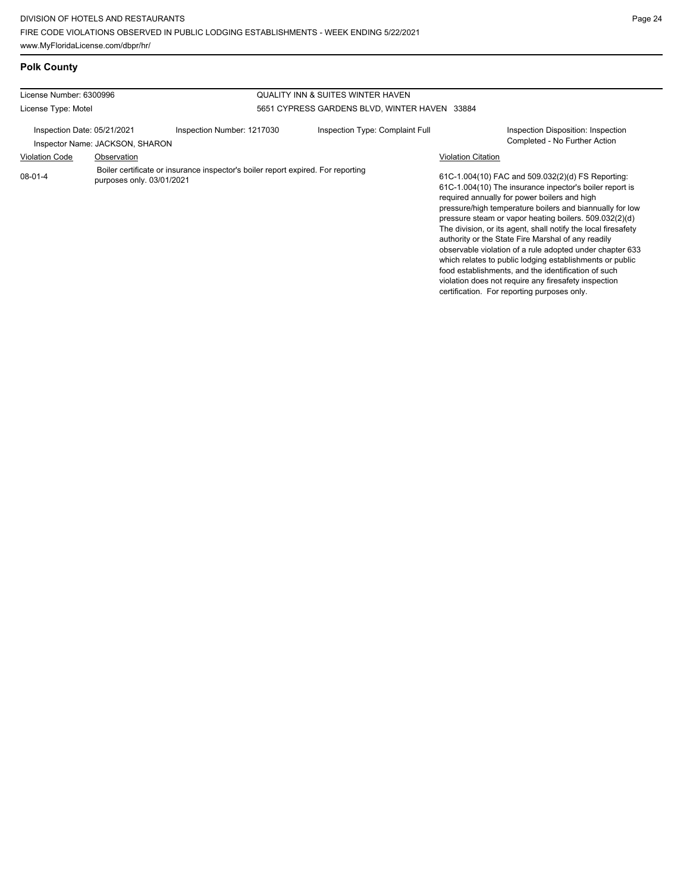**Polk County**

| License Number: 6300996     |                                                                                                               | <b>QUALITY INN &amp; SUITES WINTER HAVEN</b> |                                               |                                                                                                                                                                                                                                                                                                                                                                                                                                                                                                                                                                                                                                                                                                 |  |
|-----------------------------|---------------------------------------------------------------------------------------------------------------|----------------------------------------------|-----------------------------------------------|-------------------------------------------------------------------------------------------------------------------------------------------------------------------------------------------------------------------------------------------------------------------------------------------------------------------------------------------------------------------------------------------------------------------------------------------------------------------------------------------------------------------------------------------------------------------------------------------------------------------------------------------------------------------------------------------------|--|
| License Type: Motel         |                                                                                                               |                                              | 5651 CYPRESS GARDENS BLVD, WINTER HAVEN 33884 |                                                                                                                                                                                                                                                                                                                                                                                                                                                                                                                                                                                                                                                                                                 |  |
| Inspection Date: 05/21/2021 | Inspector Name: JACKSON, SHARON                                                                               | Inspection Number: 1217030                   | Inspection Type: Complaint Full               | Inspection Disposition: Inspection<br>Completed - No Further Action                                                                                                                                                                                                                                                                                                                                                                                                                                                                                                                                                                                                                             |  |
| <b>Violation Code</b>       | Observation                                                                                                   |                                              | <b>Violation Citation</b>                     |                                                                                                                                                                                                                                                                                                                                                                                                                                                                                                                                                                                                                                                                                                 |  |
| $08 - 01 - 4$               | Boiler certificate or insurance inspector's boiler report expired. For reporting<br>purposes only. 03/01/2021 |                                              |                                               | 61C-1.004(10) FAC and 509.032(2)(d) FS Reporting:<br>61C-1.004(10) The insurance inpector's boiler report is<br>required annually for power boilers and high<br>pressure/high temperature boilers and biannually for low<br>pressure steam or vapor heating boilers. 509.032(2)(d)<br>The division, or its agent, shall notify the local firesafety<br>authority or the State Fire Marshal of any readily<br>observable violation of a rule adopted under chapter 633<br>which relates to public lodging establishments or public<br>food establishments, and the identification of such<br>violation does not require any firesafety inspection<br>certification. For reporting purposes only. |  |